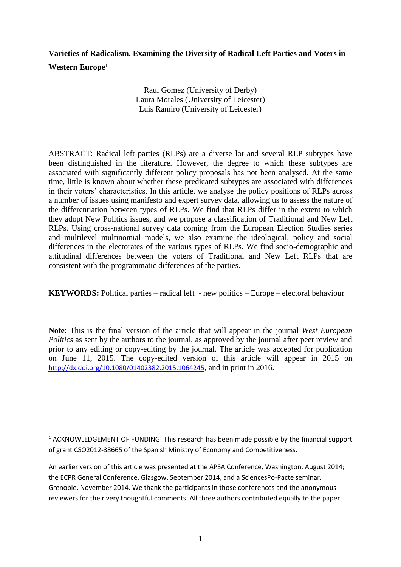# **Varieties of Radicalism. Examining the Diversity of Radical Left Parties and Voters in Western Europe<sup>1</sup>**

Raul Gomez (University of Derby) Laura Morales (University of Leicester) Luis Ramiro (University of Leicester)

ABSTRACT: Radical left parties (RLPs) are a diverse lot and several RLP subtypes have been distinguished in the literature. However, the degree to which these subtypes are associated with significantly different policy proposals has not been analysed. At the same time, little is known about whether these predicated subtypes are associated with differences in their voters' characteristics. In this article, we analyse the policy positions of RLPs across a number of issues using manifesto and expert survey data, allowing us to assess the nature of the differentiation between types of RLPs. We find that RLPs differ in the extent to which they adopt New Politics issues, and we propose a classification of Traditional and New Left RLPs. Using cross-national survey data coming from the European Election Studies series and multilevel multinomial models, we also examine the ideological, policy and social differences in the electorates of the various types of RLPs. We find socio-demographic and attitudinal differences between the voters of Traditional and New Left RLPs that are consistent with the programmatic differences of the parties.

**KEYWORDS:** Political parties – radical left - new politics – Europe – electoral behaviour

**Note**: This is the final version of the article that will appear in the journal *West European Politics* as sent by the authors to the journal, as approved by the journal after peer review and prior to any editing or copy-editing by the journal. The article was accepted for publication on June 11, 2015. The copy-edited version of this article will appear in 2015 on <http://dx.doi.org/10.1080/01402382.2015.1064245>, and in print in 2016.

<sup>&</sup>lt;sup>1</sup> ACKNOWLEDGEMENT OF FUNDING: This research has been made possible by the financial support of grant CSO2012-38665 of the Spanish Ministry of Economy and Competitiveness.

An earlier version of this article was presented at the APSA Conference, Washington, August 2014; the ECPR General Conference, Glasgow, September 2014, and a SciencesPo-Pacte seminar, Grenoble, November 2014. We thank the participants in those conferences and the anonymous reviewers for their very thoughtful comments. All three authors contributed equally to the paper.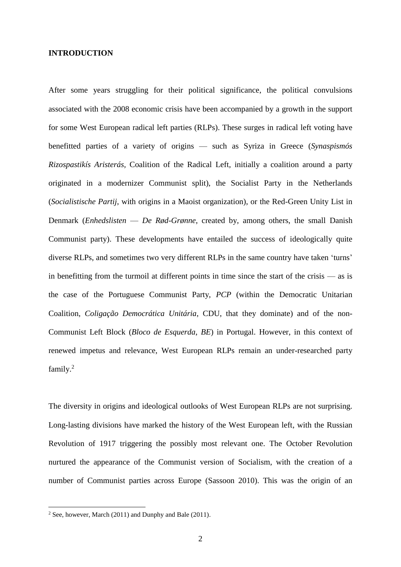#### **INTRODUCTION**

After some years struggling for their political significance, the political convulsions associated with the 2008 economic crisis have been accompanied by a growth in the support for some West European radical left parties (RLPs). These surges in radical left voting have benefitted parties of a variety of origins — such as Syriza in Greece (*Synaspismós Rizospastikís Aristerás,* Coalition of the Radical Left*,* initially a coalition around a party originated in a modernizer Communist split), the Socialist Party in the Netherlands (*Socialistische Partij*, with origins in a Maoist organization), or the Red-Green Unity List in Denmark (*Enhedslisten* — *De Rød-Grønne*, created by, among others, the small Danish Communist party). These developments have entailed the success of ideologically quite diverse RLPs, and sometimes two very different RLPs in the same country have taken 'turns' in benefitting from the turmoil at different points in time since the start of the crisis — as is the case of the Portuguese Communist Party, *PCP* (within the Democratic Unitarian Coalition, *Coligação Democrática Unitária*, CDU, that they dominate) and of the non-Communist Left Block (*Bloco de Esquerda*, *BE*) in Portugal. However, in this context of renewed impetus and relevance, West European RLPs remain an under-researched party family. 2

The diversity in origins and ideological outlooks of West European RLPs are not surprising. Long-lasting divisions have marked the history of the West European left, with the Russian Revolution of 1917 triggering the possibly most relevant one. The October Revolution nurtured the appearance of the Communist version of Socialism, with the creation of a number of Communist parties across Europe (Sassoon 2010). This was the origin of an

 $2$  See, however, March (2011) and Dunphy and Bale (2011).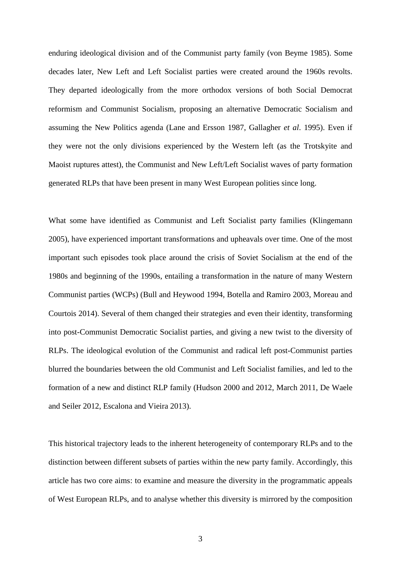enduring ideological division and of the Communist party family (von Beyme 1985). Some decades later, New Left and Left Socialist parties were created around the 1960s revolts. They departed ideologically from the more orthodox versions of both Social Democrat reformism and Communist Socialism, proposing an alternative Democratic Socialism and assuming the New Politics agenda (Lane and Ersson 1987, Gallagher *et al*. 1995). Even if they were not the only divisions experienced by the Western left (as the Trotskyite and Maoist ruptures attest), the Communist and New Left/Left Socialist waves of party formation generated RLPs that have been present in many West European polities since long.

What some have identified as Communist and Left Socialist party families (Klingemann 2005), have experienced important transformations and upheavals over time. One of the most important such episodes took place around the crisis of Soviet Socialism at the end of the 1980s and beginning of the 1990s, entailing a transformation in the nature of many Western Communist parties (WCPs) (Bull and Heywood 1994, Botella and Ramiro 2003, Moreau and Courtois 2014). Several of them changed their strategies and even their identity, transforming into post-Communist Democratic Socialist parties, and giving a new twist to the diversity of RLPs. The ideological evolution of the Communist and radical left post-Communist parties blurred the boundaries between the old Communist and Left Socialist families, and led to the formation of a new and distinct RLP family (Hudson 2000 and 2012, March 2011, De Waele and Seiler 2012, Escalona and Vieira 2013).

This historical trajectory leads to the inherent heterogeneity of contemporary RLPs and to the distinction between different subsets of parties within the new party family. Accordingly, this article has two core aims: to examine and measure the diversity in the programmatic appeals of West European RLPs, and to analyse whether this diversity is mirrored by the composition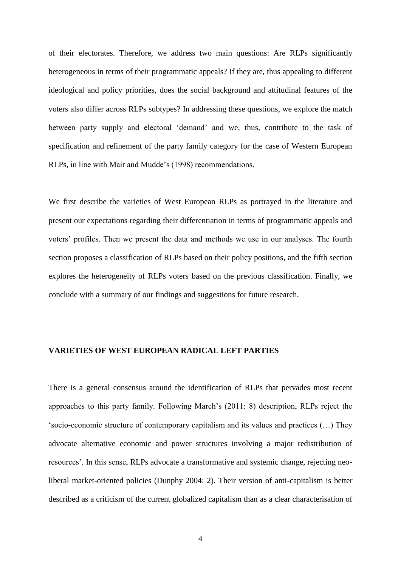of their electorates. Therefore, we address two main questions: Are RLPs significantly heterogeneous in terms of their programmatic appeals? If they are, thus appealing to different ideological and policy priorities, does the social background and attitudinal features of the voters also differ across RLPs subtypes? In addressing these questions, we explore the match between party supply and electoral 'demand' and we, thus, contribute to the task of specification and refinement of the party family category for the case of Western European RLPs, in line with Mair and Mudde's (1998) recommendations.

We first describe the varieties of West European RLPs as portrayed in the literature and present our expectations regarding their differentiation in terms of programmatic appeals and voters' profiles. Then we present the data and methods we use in our analyses. The fourth section proposes a classification of RLPs based on their policy positions, and the fifth section explores the heterogeneity of RLPs voters based on the previous classification. Finally, we conclude with a summary of our findings and suggestions for future research.

# **VARIETIES OF WEST EUROPEAN RADICAL LEFT PARTIES**

There is a general consensus around the identification of RLPs that pervades most recent approaches to this party family. Following March's (2011: 8) description, RLPs reject the 'socio-economic structure of contemporary capitalism and its values and practices (…) They advocate alternative economic and power structures involving a major redistribution of resources'. In this sense, RLPs advocate a transformative and systemic change, rejecting neoliberal market-oriented policies (Dunphy 2004: 2). Their version of anti-capitalism is better described as a criticism of the current globalized capitalism than as a clear characterisation of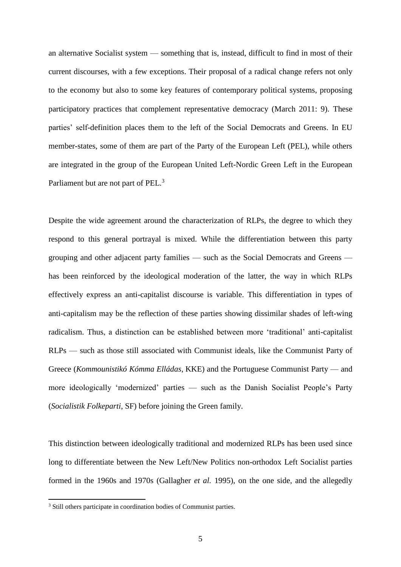an alternative Socialist system — something that is, instead, difficult to find in most of their current discourses, with a few exceptions. Their proposal of a radical change refers not only to the economy but also to some key features of contemporary political systems, proposing participatory practices that complement representative democracy (March 2011: 9). These parties' self-definition places them to the left of the Social Democrats and Greens. In EU member-states, some of them are part of the Party of the European Left (PEL), while others are integrated in the group of the European United Left-Nordic Green Left in the European Parliament but are not part of PEL.<sup>3</sup>

Despite the wide agreement around the characterization of RLPs, the degree to which they respond to this general portrayal is mixed. While the differentiation between this party grouping and other adjacent party families — such as the Social Democrats and Greens has been reinforced by the ideological moderation of the latter, the way in which RLPs effectively express an anti-capitalist discourse is variable. This differentiation in types of anti-capitalism may be the reflection of these parties showing dissimilar shades of left-wing radicalism. Thus, a distinction can be established between more 'traditional' anti-capitalist RLPs — such as those still associated with Communist ideals, like the Communist Party of Greece (*Kommounistikó Kómma Elládas*, KKE) and the Portuguese Communist Party — and more ideologically 'modernized' parties — such as the Danish Socialist People's Party (*Socialistik Folkeparti*, SF) before joining the Green family.

This distinction between ideologically traditional and modernized RLPs has been used since long to differentiate between the New Left/New Politics non-orthodox Left Socialist parties formed in the 1960s and 1970s (Gallagher *et al.* 1995), on the one side, and the allegedly

<sup>&</sup>lt;sup>3</sup> Still others participate in coordination bodies of Communist parties.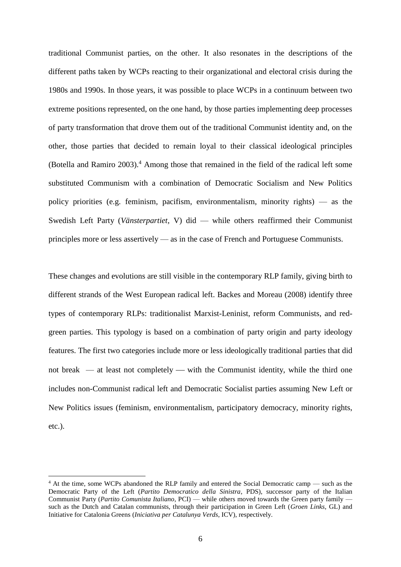traditional Communist parties, on the other. It also resonates in the descriptions of the different paths taken by WCPs reacting to their organizational and electoral crisis during the 1980s and 1990s. In those years, it was possible to place WCPs in a continuum between two extreme positions represented, on the one hand, by those parties implementing deep processes of party transformation that drove them out of the traditional Communist identity and, on the other, those parties that decided to remain loyal to their classical ideological principles (Botella and Ramiro 2003).<sup>4</sup> Among those that remained in the field of the radical left some substituted Communism with a combination of Democratic Socialism and New Politics policy priorities (e.g. feminism, pacifism, environmentalism, minority rights) — as the Swedish Left Party (*Vänsterpartiet*, V) did — while others reaffirmed their Communist principles more or less assertively — as in the case of French and Portuguese Communists.

These changes and evolutions are still visible in the contemporary RLP family, giving birth to different strands of the West European radical left. Backes and Moreau (2008) identify three types of contemporary RLPs: traditionalist Marxist-Leninist, reform Communists, and redgreen parties. This typology is based on a combination of party origin and party ideology features. The first two categories include more or less ideologically traditional parties that did not break  $-$  at least not completely  $-$  with the Communist identity, while the third one includes non-Communist radical left and Democratic Socialist parties assuming New Left or New Politics issues (feminism, environmentalism, participatory democracy, minority rights, etc.).

<sup>4</sup> At the time, some WCPs abandoned the RLP family and entered the Social Democratic camp — such as the Democratic Party of the Left (*Partito Democratico della Sinistra*, PDS), successor party of the Italian Communist Party (*Partito Comunista Italiano*, PCI) — while others moved towards the Green party family such as the Dutch and Catalan communists, through their participation in Green Left (*Groen Links*, GL) and Initiative for Catalonia Greens (*Iniciativa per Catalunya Verds*, ICV), respectively.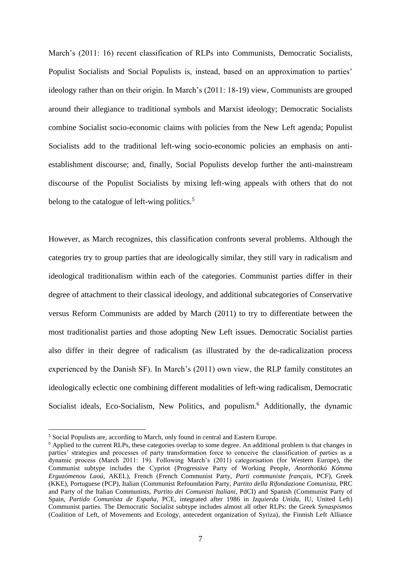March's (2011: 16) recent classification of RLPs into Communists, Democratic Socialists, Populist Socialists and Social Populists is, instead, based on an approximation to parties' ideology rather than on their origin. In March's (2011: 18-19) view, Communists are grouped around their allegiance to traditional symbols and Marxist ideology; Democratic Socialists combine Socialist socio-economic claims with policies from the New Left agenda; Populist Socialists add to the traditional left-wing socio-economic policies an emphasis on antiestablishment discourse; and, finally, Social Populists develop further the anti-mainstream discourse of the Populist Socialists by mixing left-wing appeals with others that do not belong to the catalogue of left-wing politics.<sup>5</sup>

However, as March recognizes, this classification confronts several problems. Although the categories try to group parties that are ideologically similar, they still vary in radicalism and ideological traditionalism within each of the categories. Communist parties differ in their degree of attachment to their classical ideology, and additional subcategories of Conservative versus Reform Communists are added by March (2011) to try to differentiate between the most traditionalist parties and those adopting New Left issues. Democratic Socialist parties also differ in their degree of radicalism (as illustrated by the de-radicalization process experienced by the Danish SF). In March's (2011) own view, the RLP family constitutes an ideologically eclectic one combining different modalities of left-wing radicalism, Democratic Socialist ideals, Eco-Socialism, New Politics, and populism.<sup>6</sup> Additionally, the dynamic

<sup>5</sup> Social Populists are, according to March, only found in central and Eastern Europe.

<sup>6</sup> Applied to the current RLPs, these categories overlap to some degree. An additional problem is that changes in parties' strategies and processes of party transformation force to conceive the classification of parties as a dynamic process (March 2011: 19). Following March's (2011) categorisation (for Western Europe), the Communist subtype includes the Cypriot (Progressive Party of Working People, *Anorthotikó Kómma Ergazómenou Laoú*, AKEL), French (French Communist Party, *Parti communiste français,* PCF), Greek (KKE), Portuguese (PCP), Italian (Communist Refoundation Party, *Partito della Rifondazione Comunista*, PRC and Party of the Italian Communists, *Partito dei Comunisti Italiani*, PdCI) and Spanish (Communist Party of Spain, *Partido Comunista de España*, PCE, integrated after 1986 in *Izquierda Unida*, IU, United Left) Communist parties. The Democratic Socialist subtype includes almost all other RLPs: the Greek *Synaspismos* (Coalition of Left, of Movements and Ecology, antecedent organization of Syriza), the Finnish Left Alliance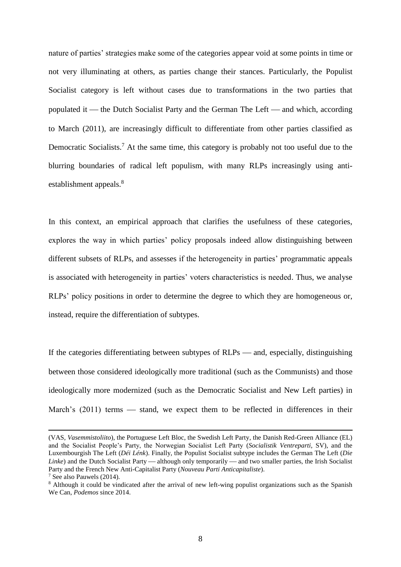nature of parties' strategies make some of the categories appear void at some points in time or not very illuminating at others, as parties change their stances. Particularly, the Populist Socialist category is left without cases due to transformations in the two parties that populated it — the Dutch Socialist Party and the German The Left — and which, according to March (2011), are increasingly difficult to differentiate from other parties classified as Democratic Socialists.<sup>7</sup> At the same time, this category is probably not too useful due to the blurring boundaries of radical left populism, with many RLPs increasingly using antiestablishment appeals.<sup>8</sup>

In this context, an empirical approach that clarifies the usefulness of these categories, explores the way in which parties' policy proposals indeed allow distinguishing between different subsets of RLPs, and assesses if the heterogeneity in parties' programmatic appeals is associated with heterogeneity in parties' voters characteristics is needed. Thus, we analyse RLPs' policy positions in order to determine the degree to which they are homogeneous or, instead, require the differentiation of subtypes.

If the categories differentiating between subtypes of  $RLPs$  — and, especially, distinguishing between those considered ideologically more traditional (such as the Communists) and those ideologically more modernized (such as the Democratic Socialist and New Left parties) in March's  $(2011)$  terms — stand, we expect them to be reflected in differences in their

<sup>(</sup>VAS, *Vasemmistoliito*), the Portuguese Left Bloc, the Swedish Left Party, the Danish Red-Green Alliance (EL) and the Socialist People's Party, the Norwegian Socialist Left Party (*Socialistik Ventreparti*, SV), and the Luxembourgish The Left (*Déi Lénk*). Finally, the Populist Socialist subtype includes the German The Left (*Die Linke*) and the Dutch Socialist Party — although only temporarily — and two smaller parties, the Irish Socialist Party and the French New Anti-Capitalist Party (*Nouveau Parti Anticapitaliste*).

<sup>7</sup> See also Pauwels (2014).

<sup>&</sup>lt;sup>8</sup> Although it could be vindicated after the arrival of new left-wing populist organizations such as the Spanish We Can, *Podemos* since 2014.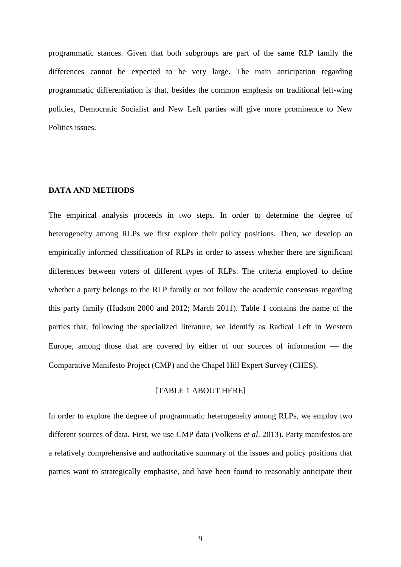programmatic stances. Given that both subgroups are part of the same RLP family the differences cannot be expected to be very large. The main anticipation regarding programmatic differentiation is that, besides the common emphasis on traditional left-wing policies, Democratic Socialist and New Left parties will give more prominence to New Politics issues.

# **DATA AND METHODS**

The empirical analysis proceeds in two steps. In order to determine the degree of heterogeneity among RLPs we first explore their policy positions. Then, we develop an empirically informed classification of RLPs in order to assess whether there are significant differences between voters of different types of RLPs. The criteria employed to define whether a party belongs to the RLP family or not follow the academic consensus regarding this party family (Hudson 2000 and 2012; March 2011). Table 1 contains the name of the parties that, following the specialized literature, we identify as Radical Left in Western Europe, among those that are covered by either of our sources of information  $-$  the Comparative Manifesto Project (CMP) and the Chapel Hill Expert Survey (CHES).

### [TABLE 1 ABOUT HERE]

In order to explore the degree of programmatic heterogeneity among RLPs, we employ two different sources of data. First, we use CMP data (Volkens *et al*. 2013). Party manifestos are a relatively comprehensive and authoritative summary of the issues and policy positions that parties want to strategically emphasise, and have been found to reasonably anticipate their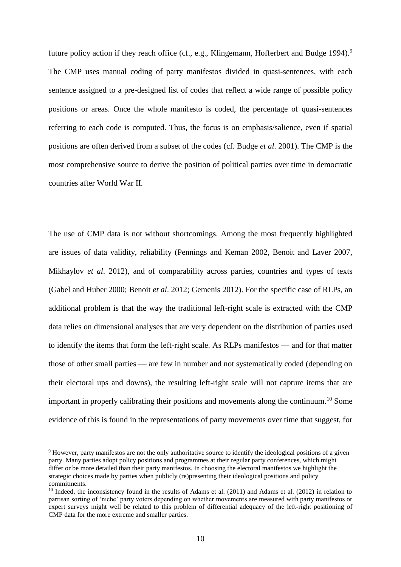future policy action if they reach office (cf., e.g., Klingemann, Hofferbert and Budge 1994).<sup>9</sup> The CMP uses manual coding of party manifestos divided in quasi-sentences, with each sentence assigned to a pre-designed list of codes that reflect a wide range of possible policy positions or areas. Once the whole manifesto is coded, the percentage of quasi-sentences referring to each code is computed. Thus, the focus is on emphasis/salience, even if spatial positions are often derived from a subset of the codes (cf. Budge *et al*. 2001). The CMP is the most comprehensive source to derive the position of political parties over time in democratic countries after World War II.

The use of CMP data is not without shortcomings. Among the most frequently highlighted are issues of data validity, reliability (Pennings and Keman 2002, Benoit and Laver 2007, Mikhaylov *et al*. 2012), and of comparability across parties, countries and types of texts (Gabel and Huber 2000; Benoit *et al*. 2012; Gemenis 2012). For the specific case of RLPs, an additional problem is that the way the traditional left-right scale is extracted with the CMP data relies on dimensional analyses that are very dependent on the distribution of parties used to identify the items that form the left-right scale. As RLPs manifestos — and for that matter those of other small parties — are few in number and not systematically coded (depending on their electoral ups and downs), the resulting left-right scale will not capture items that are important in properly calibrating their positions and movements along the continuum.<sup>10</sup> Some evidence of this is found in the representations of party movements over time that suggest, for

 $\overline{\phantom{a}}$ 

<sup>&</sup>lt;sup>9</sup> However, party manifestos are not the only authoritative source to identify the ideological positions of a given party. Many parties adopt policy positions and programmes at their regular party conferences, which might differ or be more detailed than their party manifestos. In choosing the electoral manifestos we highlight the strategic choices made by parties when publicly (re)presenting their ideological positions and policy commitments.

 $10$  Indeed, the inconsistency found in the results of Adams et al. (2011) and Adams et al. (2012) in relation to partisan sorting of 'niche' party voters depending on whether movements are measured with party manifestos or expert surveys might well be related to this problem of differential adequacy of the left-right positioning of CMP data for the more extreme and smaller parties.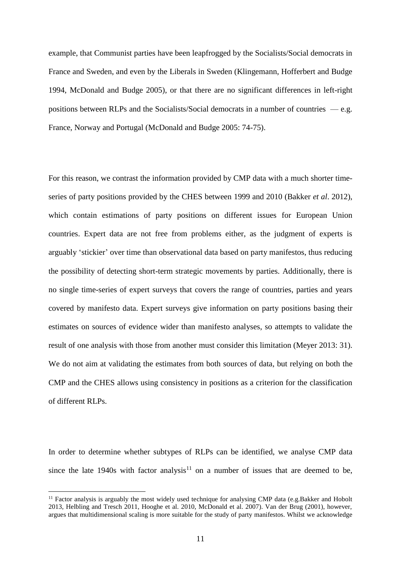example, that Communist parties have been leapfrogged by the Socialists/Social democrats in France and Sweden, and even by the Liberals in Sweden (Klingemann, Hofferbert and Budge 1994, McDonald and Budge 2005), or that there are no significant differences in left-right positions between RLPs and the Socialists/Social democrats in a number of countries — e.g. France, Norway and Portugal (McDonald and Budge 2005: 74-75).

For this reason, we contrast the information provided by CMP data with a much shorter timeseries of party positions provided by the CHES between 1999 and 2010 (Bakker *et al*. 2012), which contain estimations of party positions on different issues for European Union countries. Expert data are not free from problems either, as the judgment of experts is arguably 'stickier' over time than observational data based on party manifestos, thus reducing the possibility of detecting short-term strategic movements by parties. Additionally, there is no single time-series of expert surveys that covers the range of countries, parties and years covered by manifesto data. Expert surveys give information on party positions basing their estimates on sources of evidence wider than manifesto analyses, so attempts to validate the result of one analysis with those from another must consider this limitation (Meyer 2013: 31). We do not aim at validating the estimates from both sources of data, but relying on both the CMP and the CHES allows using consistency in positions as a criterion for the classification of different RLPs.

In order to determine whether subtypes of RLPs can be identified, we analyse CMP data since the late 1940s with factor analysis<sup>11</sup> on a number of issues that are deemed to be,

 $11$  Factor analysis is arguably the most widely used technique for analysing CMP data (e.g.Bakker and Hobolt 2013, Helbling and Tresch 2011, Hooghe et al. 2010, McDonald et al. 2007). Van der Brug (2001), however, argues that multidimensional scaling is more suitable for the study of party manifestos. Whilst we acknowledge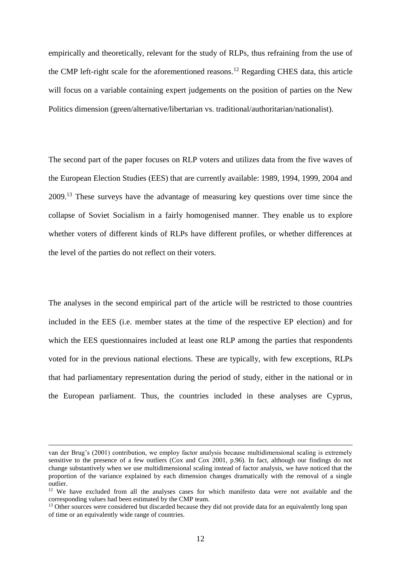empirically and theoretically, relevant for the study of RLPs, thus refraining from the use of the CMP left-right scale for the aforementioned reasons.<sup>12</sup> Regarding CHES data, this article will focus on a variable containing expert judgements on the position of parties on the New Politics dimension (green/alternative/libertarian vs. traditional/authoritarian/nationalist).

The second part of the paper focuses on RLP voters and utilizes data from the five waves of the European Election Studies (EES) that are currently available: 1989, 1994, 1999, 2004 and 2009.<sup>13</sup> These surveys have the advantage of measuring key questions over time since the collapse of Soviet Socialism in a fairly homogenised manner. They enable us to explore whether voters of different kinds of RLPs have different profiles, or whether differences at the level of the parties do not reflect on their voters.

The analyses in the second empirical part of the article will be restricted to those countries included in the EES (i.e. member states at the time of the respective EP election) and for which the EES questionnaires included at least one RLP among the parties that respondents voted for in the previous national elections. These are typically, with few exceptions, RLPs that had parliamentary representation during the period of study, either in the national or in the European parliament. Thus, the countries included in these analyses are Cyprus,

 $\overline{\phantom{a}}$ 

van der Brug's (2001) contribution, we employ factor analysis because multidimensional scaling is extremely sensitive to the presence of a few outliers (Cox and Cox 2001, p.96). In fact, although our findings do not change substantively when we use multidimensional scaling instead of factor analysis, we have noticed that the proportion of the variance explained by each dimension changes dramatically with the removal of a single outlier.

<sup>&</sup>lt;sup>12</sup> We have excluded from all the analyses cases for which manifesto data were not available and the corresponding values had been estimated by the CMP team.

<sup>&</sup>lt;sup>13</sup> Other sources were considered but discarded because they did not provide data for an equivalently long span of time or an equivalently wide range of countries.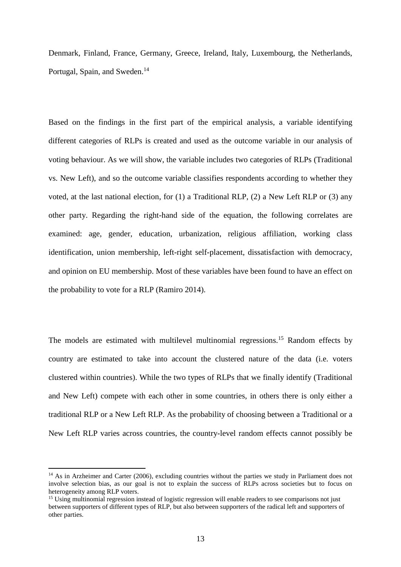Denmark, Finland, France, Germany, Greece, Ireland, Italy, Luxembourg, the Netherlands, Portugal, Spain, and Sweden.<sup>14</sup>

Based on the findings in the first part of the empirical analysis, a variable identifying different categories of RLPs is created and used as the outcome variable in our analysis of voting behaviour. As we will show, the variable includes two categories of RLPs (Traditional vs. New Left), and so the outcome variable classifies respondents according to whether they voted, at the last national election, for (1) a Traditional RLP, (2) a New Left RLP or (3) any other party. Regarding the right-hand side of the equation, the following correlates are examined: age, gender, education, urbanization, religious affiliation, working class identification, union membership, left-right self-placement, dissatisfaction with democracy, and opinion on EU membership. Most of these variables have been found to have an effect on the probability to vote for a RLP (Ramiro 2014).

The models are estimated with multilevel multinomial regressions.<sup>15</sup> Random effects by country are estimated to take into account the clustered nature of the data (i.e. voters clustered within countries). While the two types of RLPs that we finally identify (Traditional and New Left) compete with each other in some countries, in others there is only either a traditional RLP or a New Left RLP. As the probability of choosing between a Traditional or a New Left RLP varies across countries, the country-level random effects cannot possibly be

<sup>&</sup>lt;sup>14</sup> As in Arzheimer and Carter (2006), excluding countries without the parties we study in Parliament does not involve selection bias, as our goal is not to explain the success of RLPs across societies but to focus on heterogeneity among RLP voters.

<sup>&</sup>lt;sup>15</sup> Using multinomial regression instead of logistic regression will enable readers to see comparisons not just between supporters of different types of RLP, but also between supporters of the radical left and supporters of other parties.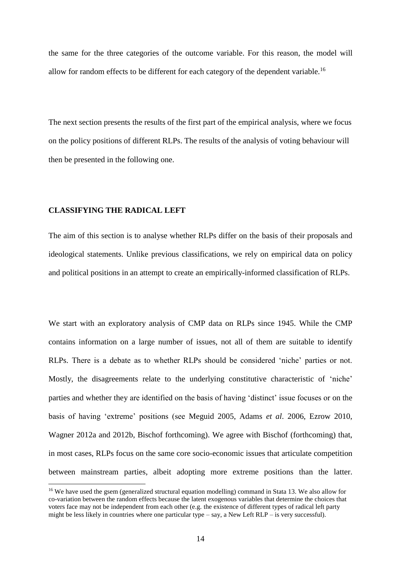the same for the three categories of the outcome variable. For this reason, the model will allow for random effects to be different for each category of the dependent variable.<sup>16</sup>

The next section presents the results of the first part of the empirical analysis, where we focus on the policy positions of different RLPs. The results of the analysis of voting behaviour will then be presented in the following one.

# **CLASSIFYING THE RADICAL LEFT**

**.** 

The aim of this section is to analyse whether RLPs differ on the basis of their proposals and ideological statements. Unlike previous classifications, we rely on empirical data on policy and political positions in an attempt to create an empirically-informed classification of RLPs.

We start with an exploratory analysis of CMP data on RLPs since 1945. While the CMP contains information on a large number of issues, not all of them are suitable to identify RLPs. There is a debate as to whether RLPs should be considered 'niche' parties or not. Mostly, the disagreements relate to the underlying constitutive characteristic of 'niche' parties and whether they are identified on the basis of having 'distinct' issue focuses or on the basis of having 'extreme' positions (see Meguid 2005, Adams *et al*. 2006, Ezrow 2010, Wagner 2012a and 2012b, Bischof forthcoming). We agree with Bischof (forthcoming) that, in most cases, RLPs focus on the same core socio-economic issues that articulate competition between mainstream parties, albeit adopting more extreme positions than the latter.

<sup>&</sup>lt;sup>16</sup> We have used the gsem (generalized structural equation modelling) command in Stata 13. We also allow for co-variation between the random effects because the latent exogenous variables that determine the choices that voters face may not be independent from each other (e.g. the existence of different types of radical left party might be less likely in countries where one particular type – say, a New Left RLP – is very successful).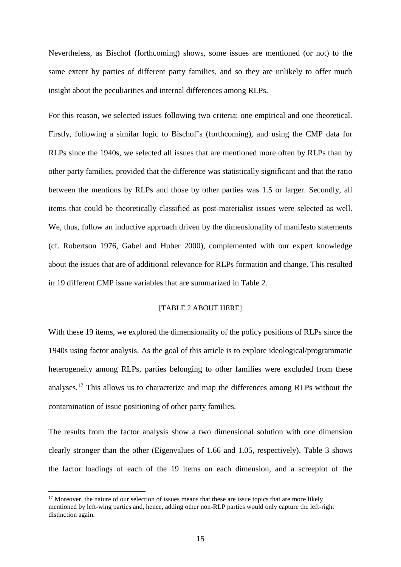Nevertheless, as Bischof (forthcoming) shows, some issues are mentioned (or not) to the same extent by parties of different party families, and so they are unlikely to offer much insight about the peculiarities and internal differences among RLPs.

For this reason, we selected issues following two criteria: one empirical and one theoretical. Firstly, following a similar logic to Bischof's (forthcoming), and using the CMP data for RLPs since the 1940s, we selected all issues that are mentioned more often by RLPs than by other party families, provided that the difference was statistically significant and that the ratio between the mentions by RLPs and those by other parties was 1.5 or larger. Secondly, all items that could be theoretically classified as post-materialist issues were selected as well. We, thus, follow an inductive approach driven by the dimensionality of manifesto statements (cf. Robertson 1976, Gabel and Huber 2000), complemented with our expert knowledge about the issues that are of additional relevance for RLPs formation and change. This resulted in 19 different CMP issue variables that are summarized in Table 2.

### [TABLE 2 ABOUT HERE]

With these 19 items, we explored the dimensionality of the policy positions of RLPs since the 1940s using factor analysis. As the goal of this article is to explore ideological/programmatic heterogeneity among RLPs, parties belonging to other families were excluded from these analyses.<sup>17</sup> This allows us to characterize and map the differences among RLPs without the contamination of issue positioning of other party families.

The results from the factor analysis show a two dimensional solution with one dimension clearly stronger than the other (Eigenvalues of 1.66 and 1.05, respectively). Τable 3 shows the factor loadings of each of the 19 items on each dimension, and a screeplot of the

 $17$  Moreover, the nature of our selection of issues means that these are issue topics that are more likely mentioned by left-wing parties and, hence, adding other non-RLP parties would only capture the left-right distinction again.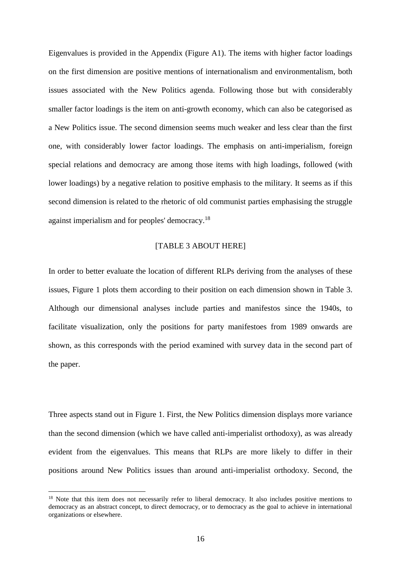Eigenvalues is provided in the Appendix (Figure A1). The items with higher factor loadings on the first dimension are positive mentions of internationalism and environmentalism, both issues associated with the New Politics agenda. Following those but with considerably smaller factor loadings is the item on anti-growth economy, which can also be categorised as a New Politics issue. The second dimension seems much weaker and less clear than the first one, with considerably lower factor loadings. The emphasis on anti-imperialism, foreign special relations and democracy are among those items with high loadings, followed (with lower loadings) by a negative relation to positive emphasis to the military. It seems as if this second dimension is related to the rhetoric of old communist parties emphasising the struggle against imperialism and for peoples' democracy.<sup>18</sup>

#### [TABLE 3 ABOUT HERE]

In order to better evaluate the location of different RLPs deriving from the analyses of these issues, Figure 1 plots them according to their position on each dimension shown in Table 3. Although our dimensional analyses include parties and manifestos since the 1940s, to facilitate visualization, only the positions for party manifestoes from 1989 onwards are shown, as this corresponds with the period examined with survey data in the second part of the paper.

Three aspects stand out in Figure 1. First, the New Politics dimension displays more variance than the second dimension (which we have called anti-imperialist orthodoxy), as was already evident from the eigenvalues. This means that RLPs are more likely to differ in their positions around New Politics issues than around anti-imperialist orthodoxy. Second, the

<sup>&</sup>lt;sup>18</sup> Note that this item does not necessarily refer to liberal democracy. It also includes positive mentions to democracy as an abstract concept, to direct democracy, or to democracy as the goal to achieve in international organizations or elsewhere.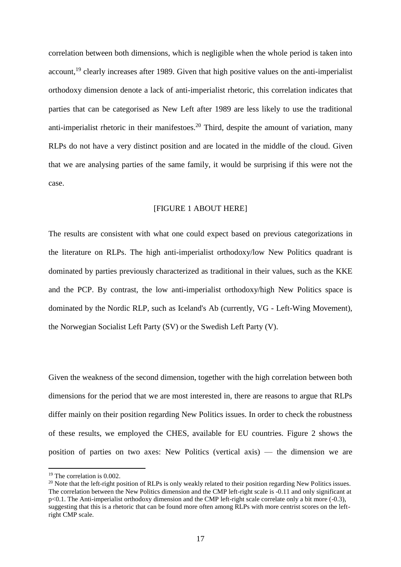correlation between both dimensions, which is negligible when the whole period is taken into account.<sup>19</sup> clearly increases after 1989. Given that high positive values on the anti-imperialist orthodoxy dimension denote a lack of anti-imperialist rhetoric, this correlation indicates that parties that can be categorised as New Left after 1989 are less likely to use the traditional anti-imperialist rhetoric in their manifestoes.<sup>20</sup> Third, despite the amount of variation, many RLPs do not have a very distinct position and are located in the middle of the cloud. Given that we are analysing parties of the same family, it would be surprising if this were not the case.

#### [FIGURE 1 ABOUT HERE]

The results are consistent with what one could expect based on previous categorizations in the literature on RLPs. The high anti-imperialist orthodoxy/low New Politics quadrant is dominated by parties previously characterized as traditional in their values, such as the KKE and the PCP. By contrast, the low anti-imperialist orthodoxy/high New Politics space is dominated by the Nordic RLP, such as Iceland's Ab (currently, VG - Left-Wing Movement), the Norwegian Socialist Left Party (SV) or the Swedish Left Party (V).

Given the weakness of the second dimension, together with the high correlation between both dimensions for the period that we are most interested in, there are reasons to argue that RLPs differ mainly on their position regarding New Politics issues. In order to check the robustness of these results, we employed the CHES, available for EU countries. Figure 2 shows the position of parties on two axes: New Politics (vertical axis) — the dimension we are

<sup>&</sup>lt;sup>19</sup> The correlation is 0.002.

<sup>&</sup>lt;sup>20</sup> Note that the left-right position of RLPs is only weakly related to their position regarding New Politics issues. The correlation between the New Politics dimension and the CMP left-right scale is -0.11 and only significant at p<0.1. The Anti-imperialist orthodoxy dimension and the CMP left-right scale correlate only a bit more (-0.3), suggesting that this is a rhetoric that can be found more often among RLPs with more centrist scores on the leftright CMP scale.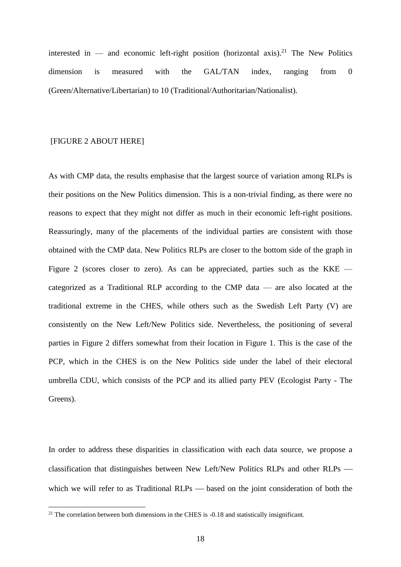interested in — and economic left-right position (horizontal axis).<sup>21</sup> The New Politics dimension is measured with the GAL/TAN index, ranging from 0 (Green/Alternative/Libertarian) to 10 (Traditional/Authoritarian/Nationalist).

### [FIGURE 2 ABOUT HERE]

**.** 

As with CMP data, the results emphasise that the largest source of variation among RLPs is their positions on the New Politics dimension. This is a non-trivial finding, as there were no reasons to expect that they might not differ as much in their economic left-right positions. Reassuringly, many of the placements of the individual parties are consistent with those obtained with the CMP data. New Politics RLPs are closer to the bottom side of the graph in Figure 2 (scores closer to zero). As can be appreciated, parties such as the KKE  $$ categorized as a Traditional RLP according to the CMP data — are also located at the traditional extreme in the CHES, while others such as the Swedish Left Party (V) are consistently on the New Left/New Politics side. Nevertheless, the positioning of several parties in Figure 2 differs somewhat from their location in Figure 1. This is the case of the PCP, which in the CHES is on the New Politics side under the label of their electoral umbrella CDU, which consists of the PCP and its allied party PEV (Ecologist Party - The Greens).

In order to address these disparities in classification with each data source, we propose a classification that distinguishes between New Left/New Politics RLPs and other RLPs which we will refer to as Traditional  $RLPs$   $\rightarrow$  based on the joint consideration of both the

 $21$  The correlation between both dimensions in the CHES is  $-0.18$  and statistically insignificant.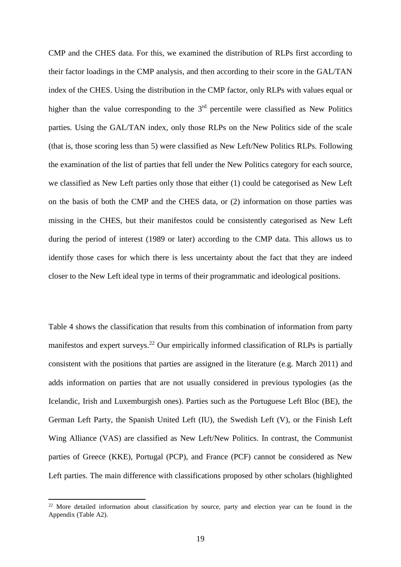CMP and the CHES data. For this, we examined the distribution of RLPs first according to their factor loadings in the CMP analysis, and then according to their score in the GAL/TAN index of the CHES. Using the distribution in the CMP factor, only RLPs with values equal or higher than the value corresponding to the  $3<sup>rd</sup>$  percentile were classified as New Politics parties. Using the GAL/TAN index, only those RLPs on the New Politics side of the scale (that is, those scoring less than 5) were classified as New Left/New Politics RLPs. Following the examination of the list of parties that fell under the New Politics category for each source, we classified as New Left parties only those that either (1) could be categorised as New Left on the basis of both the CMP and the CHES data, or (2) information on those parties was missing in the CHES, but their manifestos could be consistently categorised as New Left during the period of interest (1989 or later) according to the CMP data. This allows us to identify those cases for which there is less uncertainty about the fact that they are indeed closer to the New Left ideal type in terms of their programmatic and ideological positions.

Table 4 shows the classification that results from this combination of information from party manifestos and expert surveys.<sup>22</sup> Our empirically informed classification of RLPs is partially consistent with the positions that parties are assigned in the literature (e.g. March 2011) and adds information on parties that are not usually considered in previous typologies (as the Icelandic, Irish and Luxemburgish ones). Parties such as the Portuguese Left Bloc (BE), the German Left Party, the Spanish United Left (IU), the Swedish Left (V), or the Finish Left Wing Alliance (VAS) are classified as New Left/New Politics. In contrast, the Communist parties of Greece (KKE), Portugal (PCP), and France (PCF) cannot be considered as New Left parties. The main difference with classifications proposed by other scholars (highlighted

 $^{22}$  More detailed information about classification by source, party and election year can be found in the Appendix (Table A2).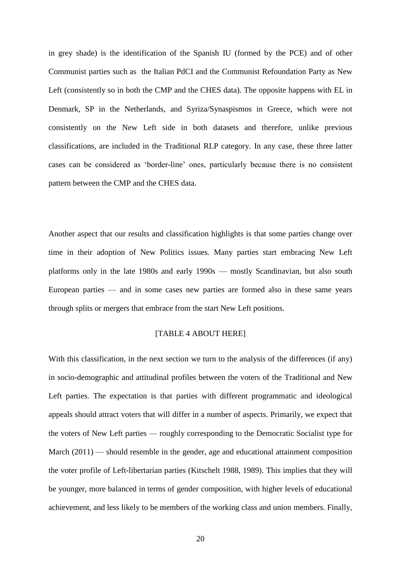in grey shade) is the identification of the Spanish IU (formed by the PCE) and of other Communist parties such as the Italian PdCI and the Communist Refoundation Party as New Left (consistently so in both the CMP and the CHES data). The opposite happens with EL in Denmark, SP in the Netherlands, and Syriza/Synaspismos in Greece, which were not consistently on the New Left side in both datasets and therefore, unlike previous classifications, are included in the Traditional RLP category. In any case, these three latter cases can be considered as 'border-line' ones, particularly because there is no consistent pattern between the CMP and the CHES data.

Another aspect that our results and classification highlights is that some parties change over time in their adoption of New Politics issues. Many parties start embracing New Left platforms only in the late 1980s and early 1990s — mostly Scandinavian, but also south European parties — and in some cases new parties are formed also in these same years through splits or mergers that embrace from the start New Left positions.

#### [TABLE 4 ABOUT HERE]

With this classification, in the next section we turn to the analysis of the differences (if any) in socio-demographic and attitudinal profiles between the voters of the Traditional and New Left parties. The expectation is that parties with different programmatic and ideological appeals should attract voters that will differ in a number of aspects. Primarily, we expect that the voters of New Left parties — roughly corresponding to the Democratic Socialist type for March (2011) — should resemble in the gender, age and educational attainment composition the voter profile of Left-libertarian parties (Kitschelt 1988, 1989). This implies that they will be younger, more balanced in terms of gender composition, with higher levels of educational achievement, and less likely to be members of the working class and union members. Finally,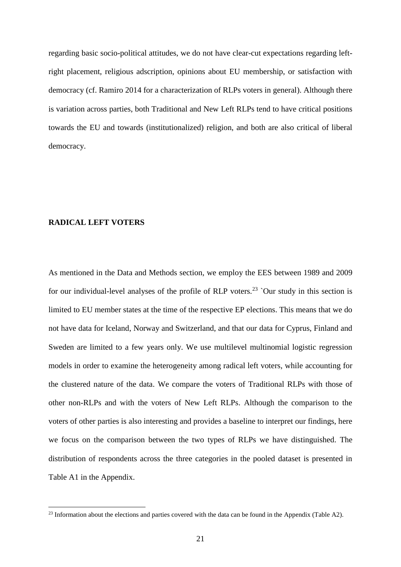regarding basic socio-political attitudes, we do not have clear-cut expectations regarding leftright placement, religious adscription, opinions about EU membership, or satisfaction with democracy (cf. Ramiro 2014 for a characterization of RLPs voters in general). Although there is variation across parties, both Traditional and New Left RLPs tend to have critical positions towards the EU and towards (institutionalized) religion, and both are also critical of liberal democracy.

#### **RADICAL LEFT VOTERS**

**.** 

As mentioned in the Data and Methods section, we employ the EES between 1989 and 2009 for our individual-level analyses of the profile of RLP voters.<sup>23</sup> `Our study in this section is limited to EU member states at the time of the respective EP elections. This means that we do not have data for Iceland, Norway and Switzerland, and that our data for Cyprus, Finland and Sweden are limited to a few years only. We use multilevel multinomial logistic regression models in order to examine the heterogeneity among radical left voters, while accounting for the clustered nature of the data. We compare the voters of Traditional RLPs with those of other non-RLPs and with the voters of New Left RLPs. Although the comparison to the voters of other parties is also interesting and provides a baseline to interpret our findings, here we focus on the comparison between the two types of RLPs we have distinguished. The distribution of respondents across the three categories in the pooled dataset is presented in Table A1 in the Appendix.

 $^{23}$  Information about the elections and parties covered with the data can be found in the Appendix (Table A2).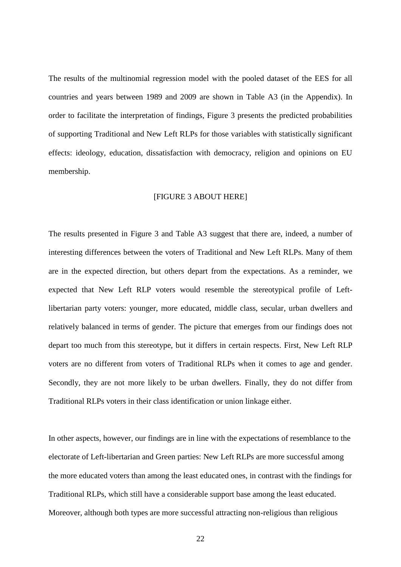The results of the multinomial regression model with the pooled dataset of the EES for all countries and years between 1989 and 2009 are shown in Table A3 (in the Appendix). In order to facilitate the interpretation of findings, Figure 3 presents the predicted probabilities of supporting Traditional and New Left RLPs for those variables with statistically significant effects: ideology, education, dissatisfaction with democracy, religion and opinions on EU membership.

#### [FIGURE 3 ABOUT HERE]

The results presented in Figure 3 and Table A3 suggest that there are, indeed, a number of interesting differences between the voters of Traditional and New Left RLPs. Many of them are in the expected direction, but others depart from the expectations. As a reminder, we expected that New Left RLP voters would resemble the stereotypical profile of Leftlibertarian party voters: younger, more educated, middle class, secular, urban dwellers and relatively balanced in terms of gender. The picture that emerges from our findings does not depart too much from this stereotype, but it differs in certain respects. First, New Left RLP voters are no different from voters of Traditional RLPs when it comes to age and gender. Secondly, they are not more likely to be urban dwellers. Finally, they do not differ from Traditional RLPs voters in their class identification or union linkage either.

In other aspects, however, our findings are in line with the expectations of resemblance to the electorate of Left-libertarian and Green parties: New Left RLPs are more successful among the more educated voters than among the least educated ones, in contrast with the findings for Traditional RLPs, which still have a considerable support base among the least educated. Moreover, although both types are more successful attracting non-religious than religious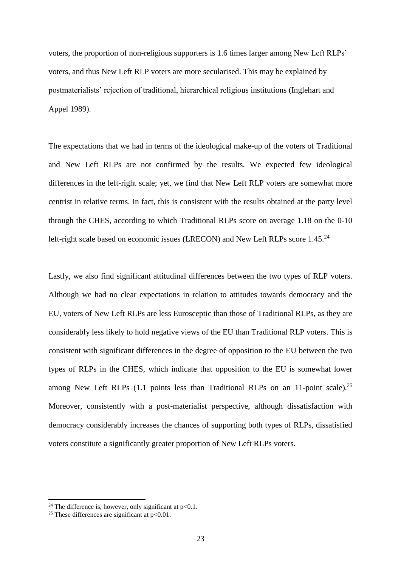voters, the proportion of non-religious supporters is 1.6 times larger among New Left RLPs' voters, and thus New Left RLP voters are more secularised. This may be explained by postmaterialists' rejection of traditional, hierarchical religious institutions (Inglehart and Appel 1989).

The expectations that we had in terms of the ideological make-up of the voters of Traditional and New Left RLPs are not confirmed by the results. We expected few ideological differences in the left-right scale; yet, we find that New Left RLP voters are somewhat more centrist in relative terms. In fact, this is consistent with the results obtained at the party level through the CHES, according to which Traditional RLPs score on average 1.18 on the 0-10 left-right scale based on economic issues (LRECON) and New Left RLPs score 1.45.<sup>24</sup>

Lastly, we also find significant attitudinal differences between the two types of RLP voters. Although we had no clear expectations in relation to attitudes towards democracy and the EU, voters of New Left RLPs are less Eurosceptic than those of Traditional RLPs, as they are considerably less likely to hold negative views of the EU than Traditional RLP voters. This is consistent with significant differences in the degree of opposition to the EU between the two types of RLPs in the CHES, which indicate that opposition to the EU is somewhat lower among New Left RLPs (1.1 points less than Traditional RLPs on an 11-point scale).<sup>25</sup> Moreover, consistently with a post-materialist perspective, although dissatisfaction with democracy considerably increases the chances of supporting both types of RLPs, dissatisfied voters constitute a significantly greater proportion of New Left RLPs voters.

<sup>&</sup>lt;sup>24</sup> The difference is, however, only significant at  $p<0.1$ .

<sup>&</sup>lt;sup>25</sup> These differences are significant at  $p < 0.01$ .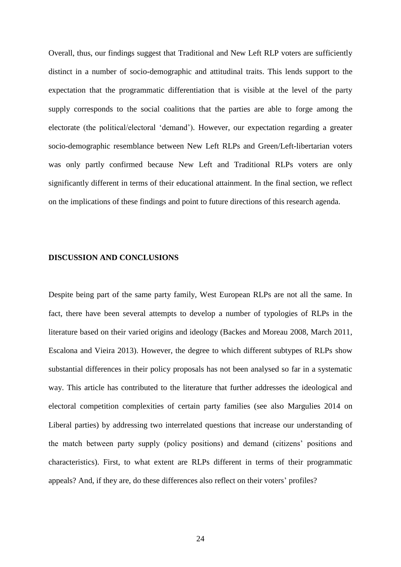Overall, thus, our findings suggest that Traditional and New Left RLP voters are sufficiently distinct in a number of socio-demographic and attitudinal traits. This lends support to the expectation that the programmatic differentiation that is visible at the level of the party supply corresponds to the social coalitions that the parties are able to forge among the electorate (the political/electoral 'demand'). However, our expectation regarding a greater socio-demographic resemblance between New Left RLPs and Green/Left-libertarian voters was only partly confirmed because New Left and Traditional RLPs voters are only significantly different in terms of their educational attainment. In the final section, we reflect on the implications of these findings and point to future directions of this research agenda.

#### **DISCUSSION AND CONCLUSIONS**

Despite being part of the same party family, West European RLPs are not all the same. In fact, there have been several attempts to develop a number of typologies of RLPs in the literature based on their varied origins and ideology (Backes and Moreau 2008, March 2011, Escalona and Vieira 2013). However, the degree to which different subtypes of RLPs show substantial differences in their policy proposals has not been analysed so far in a systematic way. This article has contributed to the literature that further addresses the ideological and electoral competition complexities of certain party families (see also Margulies 2014 on Liberal parties) by addressing two interrelated questions that increase our understanding of the match between party supply (policy positions) and demand (citizens' positions and characteristics). First, to what extent are RLPs different in terms of their programmatic appeals? And, if they are, do these differences also reflect on their voters' profiles?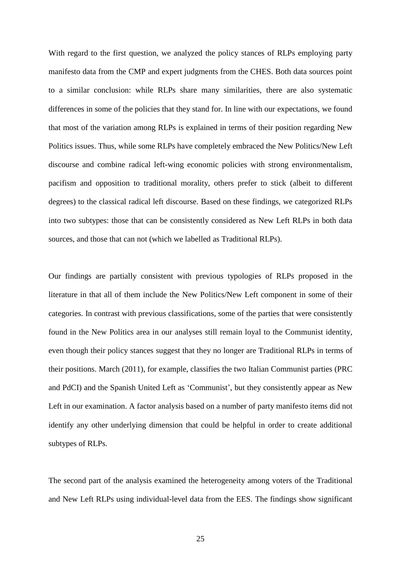With regard to the first question, we analyzed the policy stances of RLPs employing party manifesto data from the CMP and expert judgments from the CHES. Both data sources point to a similar conclusion: while RLPs share many similarities, there are also systematic differences in some of the policies that they stand for. In line with our expectations, we found that most of the variation among RLPs is explained in terms of their position regarding New Politics issues. Thus, while some RLPs have completely embraced the New Politics/New Left discourse and combine radical left-wing economic policies with strong environmentalism, pacifism and opposition to traditional morality, others prefer to stick (albeit to different degrees) to the classical radical left discourse. Based on these findings, we categorized RLPs into two subtypes: those that can be consistently considered as New Left RLPs in both data sources, and those that can not (which we labelled as Traditional RLPs).

Our findings are partially consistent with previous typologies of RLPs proposed in the literature in that all of them include the New Politics/New Left component in some of their categories. In contrast with previous classifications, some of the parties that were consistently found in the New Politics area in our analyses still remain loyal to the Communist identity, even though their policy stances suggest that they no longer are Traditional RLPs in terms of their positions. March (2011), for example, classifies the two Italian Communist parties (PRC and PdCI) and the Spanish United Left as 'Communist', but they consistently appear as New Left in our examination. A factor analysis based on a number of party manifesto items did not identify any other underlying dimension that could be helpful in order to create additional subtypes of RLPs.

The second part of the analysis examined the heterogeneity among voters of the Traditional and New Left RLPs using individual-level data from the EES. The findings show significant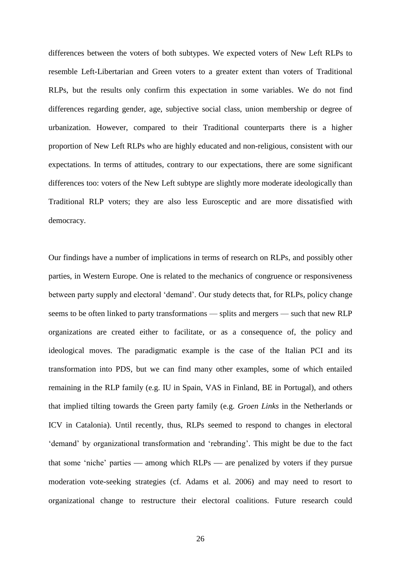differences between the voters of both subtypes. We expected voters of New Left RLPs to resemble Left-Libertarian and Green voters to a greater extent than voters of Traditional RLPs, but the results only confirm this expectation in some variables. We do not find differences regarding gender, age, subjective social class, union membership or degree of urbanization. However, compared to their Traditional counterparts there is a higher proportion of New Left RLPs who are highly educated and non-religious, consistent with our expectations. In terms of attitudes, contrary to our expectations, there are some significant differences too: voters of the New Left subtype are slightly more moderate ideologically than Traditional RLP voters; they are also less Eurosceptic and are more dissatisfied with democracy.

Our findings have a number of implications in terms of research on RLPs, and possibly other parties, in Western Europe. One is related to the mechanics of congruence or responsiveness between party supply and electoral 'demand'. Our study detects that, for RLPs, policy change seems to be often linked to party transformations — splits and mergers — such that new RLP organizations are created either to facilitate, or as a consequence of, the policy and ideological moves. The paradigmatic example is the case of the Italian PCI and its transformation into PDS, but we can find many other examples, some of which entailed remaining in the RLP family (e.g. IU in Spain, VAS in Finland, BE in Portugal), and others that implied tilting towards the Green party family (e.g. *Groen Links* in the Netherlands or ICV in Catalonia). Until recently, thus, RLPs seemed to respond to changes in electoral 'demand' by organizational transformation and 'rebranding'. This might be due to the fact that some 'niche' parties — among which  $RLPs$  — are penalized by voters if they pursue moderation vote-seeking strategies (cf. Adams et al. 2006) and may need to resort to organizational change to restructure their electoral coalitions. Future research could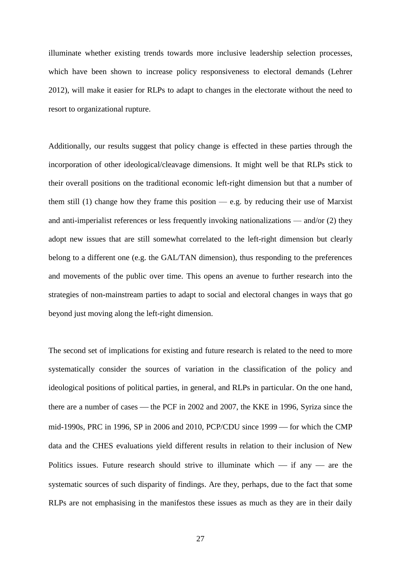illuminate whether existing trends towards more inclusive leadership selection processes, which have been shown to increase policy responsiveness to electoral demands (Lehrer 2012), will make it easier for RLPs to adapt to changes in the electorate without the need to resort to organizational rupture.

Additionally, our results suggest that policy change is effected in these parties through the incorporation of other ideological/cleavage dimensions. It might well be that RLPs stick to their overall positions on the traditional economic left-right dimension but that a number of them still (1) change how they frame this position  $-$  e.g. by reducing their use of Marxist and anti-imperialist references or less frequently invoking nationalizations — and/or (2) they adopt new issues that are still somewhat correlated to the left-right dimension but clearly belong to a different one (e.g. the GAL/TAN dimension), thus responding to the preferences and movements of the public over time. This opens an avenue to further research into the strategies of non-mainstream parties to adapt to social and electoral changes in ways that go beyond just moving along the left-right dimension.

The second set of implications for existing and future research is related to the need to more systematically consider the sources of variation in the classification of the policy and ideological positions of political parties, in general, and RLPs in particular. On the one hand, there are a number of cases — the PCF in 2002 and 2007, the KKE in 1996, Syriza since the mid-1990s, PRC in 1996, SP in 2006 and 2010, PCP/CDU since 1999 – for which the CMP data and the CHES evaluations yield different results in relation to their inclusion of New Politics issues. Future research should strive to illuminate which  $-$  if any  $-$  are the systematic sources of such disparity of findings. Are they, perhaps, due to the fact that some RLPs are not emphasising in the manifestos these issues as much as they are in their daily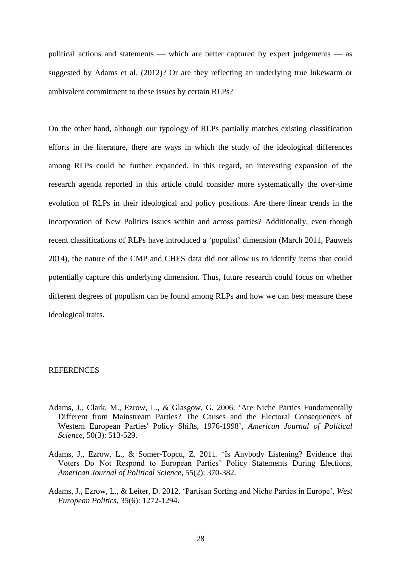political actions and statements — which are better captured by expert judgements — as suggested by Adams et al. (2012)? Or are they reflecting an underlying true lukewarm or ambivalent commitment to these issues by certain RLPs?

On the other hand, although our typology of RLPs partially matches existing classification efforts in the literature, there are ways in which the study of the ideological differences among RLPs could be further expanded. In this regard, an interesting expansion of the research agenda reported in this article could consider more systematically the over-time evolution of RLPs in their ideological and policy positions. Are there linear trends in the incorporation of New Politics issues within and across parties? Additionally, even though recent classifications of RLPs have introduced a 'populist' dimension (March 2011, Pauwels 2014), the nature of the CMP and CHES data did not allow us to identify items that could potentially capture this underlying dimension. Thus, future research could focus on whether different degrees of populism can be found among RLPs and how we can best measure these ideological traits.

#### REFERENCES

- Adams, J., Clark, M., Ezrow, L., & Glasgow, G. 2006. 'Are Niche Parties Fundamentally Different from Mainstream Parties? The Causes and the Electoral Consequences of Western European Parties' Policy Shifts, 1976-1998', *American Journal of Political Science*, 50(3): 513-529.
- Adams, J., Ezrow, L., & Somer-Topcu, Z. 2011. 'Is Anybody Listening? Evidence that Voters Do Not Respond to European Parties' Policy Statements During Elections, *American Journal of Political Science*, 55(2): 370-382.
- Adams, J., Ezrow, L., & Leiter, D. 2012. 'Partisan Sorting and Niche Parties in Europe', *West European Politics*, 35(6): 1272-1294.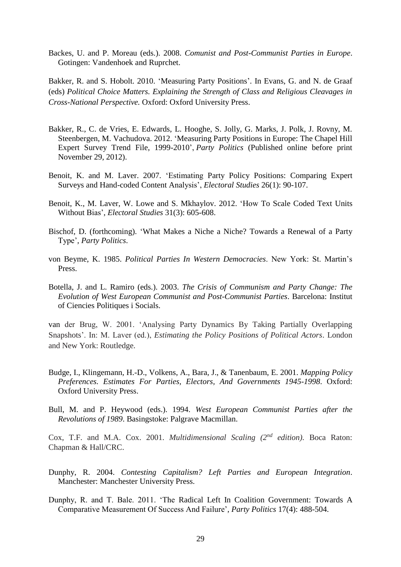Backes, U. and P. Moreau (eds.). 2008. *Comunist and Post-Communist Parties in Europe*. Gotingen: Vandenhoek and Ruprchet.

Bakker, R. and S. Hobolt. 2010. 'Measuring Party Positions'. In Evans, G. and N. de Graaf (eds) *Political Choice Matters. Explaining the Strength of Class and Religious Cleavages in Cross-National Perspective.* Oxford: Oxford University Press.

- Bakker, R., C. de Vries, E. Edwards, L. Hooghe, S. Jolly, G. Marks, J. Polk, J. Rovny, M. Steenbergen, M. Vachudova. 2012. ['Measuring Party Positions in Europe: The Chapel Hill](http://chesdata.eu/Papers/PP_2012.pdf)  [Expert Survey Trend File, 1999-2010'](http://chesdata.eu/Papers/PP_2012.pdf), *Party Politics* (Published online before print November 29, 2012).
- Benoit, K. and M. Laver. 2007. 'Estimating Party Policy Positions: Comparing Expert Surveys and Hand-coded Content Analysis', *Electoral Studies* 26(1): 90-107.
- Benoit, K., M. Laver, W. Lowe and S. Mkhaylov. 2012. 'How To Scale Coded Text Units Without Bias', *Electoral Studies* 31(3): 605-608.
- Bischof, D. (forthcoming). 'What Makes a Niche a Niche? Towards a Renewal of a Party Type', *Party Politics*.
- von Beyme, K. 1985. *Political Parties In Western Democracies*. New York: St. Martin's Press.
- Botella, J. and L. Ramiro (eds.). 2003. *The Crisis of Communism and Party Change: The Evolution of West European Communist and Post-Communist Parties*. Barcelona: Institut of Ciencies Politiques i Socials.

van der Brug, W. 2001. 'Analysing Party Dynamics By Taking Partially Overlapping Snapshots'. In: M. Laver (ed.), *Estimating the Policy Positions of Political Actors*. London and New York: Routledge.

- Budge, I., Klingemann, H.-D., Volkens, A., Bara, J., & Tanenbaum, E. 2001. *Mapping Policy Preferences. Estimates For Parties, Electors, And Governments 1945-1998*. Oxford: Oxford University Press.
- Bull, M. and P. Heywood (eds.). 1994. *West European Communist Parties after the Revolutions of 1989*. Basingstoke: Palgrave Macmillan.

Cox, T.F. and M.A. Cox. 2001. *Multidimensional Scaling (2nd edition)*. Boca Raton: Chapman & Hall/CRC.

- Dunphy, R. 2004. *Contesting Capitalism? Left Parties and European Integration*. Manchester: Manchester University Press.
- Dunphy, R. and T. Bale. 2011. 'The Radical Left In Coalition Government: Towards A Comparative Measurement Of Success And Failure', *Party Politics* 17(4): 488-504.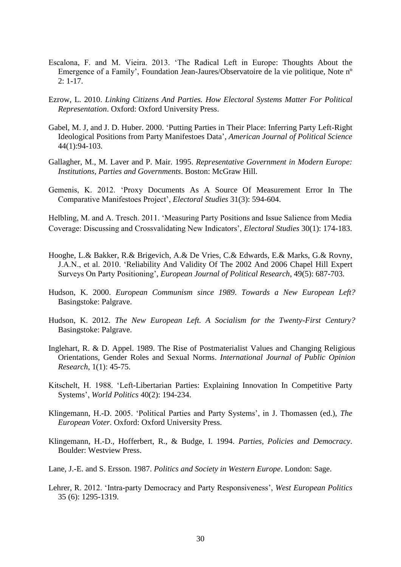- Escalona, F. and M. Vieira. 2013. 'The Radical Left in Europe: Thoughts About the Emergence of a Family', Foundation Jean-Jaures/Observatoire de la vie politique, Note nº 2: 1-17.
- Ezrow, L. 2010. *Linking Citizens And Parties. How Electoral Systems Matter For Political Representation*. Oxford: Oxford University Press.
- Gabel, M. J, and J. D. Huber. 2000. 'Putting Parties in Their Place: Inferring Party Left-Right Ideological Positions from Party Manifestoes Data', *American Journal of Political Science* 44(1):94-103.
- Gallagher, M., M. Laver and P. Mair. 1995. *Representative Government in Modern Europe: Institutions, Parties and Governments*. Boston: McGraw Hill.
- Gemenis, K. 2012. 'Proxy Documents As A Source Of Measurement Error In The Comparative Manifestoes Project', *Electoral Studies* 31(3): 594-604.

Helbling, M. and A. Tresch. 2011. 'Measuring Party Positions and Issue Salience from Media Coverage: Discussing and Crossvalidating New Indicators', *Electoral Studies* 30(1): 174-183.

- Hooghe, L.& Bakker, R.& Brigevich, A.& De Vries, C.& Edwards, E.& Marks, G.& Rovny, J.A.N., et al. 2010. 'Reliability And Validity Of The 2002 And 2006 Chapel Hill Expert Surveys On Party Positioning', *European Journal of Political Research*, 49(5): 687-703.
- Hudson, K. 2000. *European Communism since 1989*. *Towards a New European Left?* Basingstoke: Palgrave.
- Hudson, K. 2012. *The New European Left. A Socialism for the Twenty-First Century?*  Basingstoke: Palgrave.
- Inglehart, R. & D. Appel. 1989. The Rise of Postmaterialist Values and Changing Religious Orientations, Gender Roles and Sexual Norms. *International Journal of Public Opinion Research*, 1(1): 45-75.
- Kitschelt, H. 1988. 'Left-Libertarian Parties: Explaining Innovation In Competitive Party Systems', *World Politics* 40(2): 194-234.
- Klingemann, H.-D. 2005. 'Political Parties and Party Systems', in J. Thomassen (ed.), *The European Voter*. Oxford: Oxford University Press.
- Klingemann, H.-D., Hofferbert, R., & Budge, I. 1994. *Parties, Policies and Democracy*. Boulder: Westview Press.
- Lane, J.-E. and S. Ersson. 1987. *Politics and Society in Western Europe*. London: Sage.
- Lehrer, R. 2012. 'Intra-party Democracy and Party Responsiveness', *West European Politics* 35 (6): 1295-1319.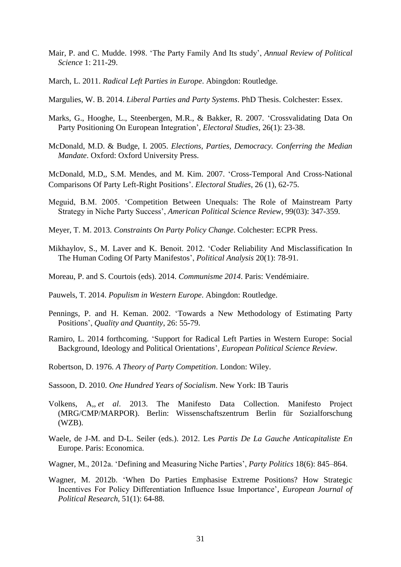- Mair, P. and C. Mudde. 1998. 'The Party Family And Its study', *Annual Review of Political Science* 1: 211-29.
- March, L. 2011. *Radical Left Parties in Europe*. Abingdon: Routledge.
- Margulies, W. B. 2014. *Liberal Parties and Party Systems*. PhD Thesis. Colchester: Essex.
- Marks, G., Hooghe, L., Steenbergen, M.R., & Bakker, R. 2007. 'Crossvalidating Data On Party Positioning On European Integration', *Electoral Studies*, 26(1): 23-38.
- McDonald, M.D. & Budge, I. 2005. *Elections, Parties, Democracy. Conferring the Median Mandate*. Oxford: Oxford University Press.

McDonald, M.D,, S.M. Mendes, and M. Kim. 2007. 'Cross-Temporal And Cross-National Comparisons Of Party Left-Right Positions'. *Electoral Studies*, 26 (1), 62-75.

- Meguid, B.M. 2005. 'Competition Between Unequals: The Role of Mainstream Party Strategy in Niche Party Success', *American Political Science Review*, 99(03): 347-359.
- Meyer, T. M. 2013. *Constraints On Party Policy Change*. Colchester: ECPR Press.
- Mikhaylov, S., M. Laver and K. Benoit. 2012. 'Coder Reliability And Misclassification In The Human Coding Of Party Manifestos', *Political Analysis* 20(1): 78-91.
- Moreau, P. and S. Courtois (eds). 2014. *Communisme 2014*. Paris: Vendémiaire.
- Pauwels, T. 2014. *Populism in Western Europe*. Abingdon: Routledge.
- Pennings, P. and H. Keman. 2002. 'Towards a New Methodology of Estimating Party Positions', *Quality and Quantity*, 26: 55-79.
- Ramiro, L. 2014 forthcoming. 'Support for Radical Left Parties in Western Europe: Social Background, Ideology and Political Orientations', *European Political Science Review*.
- Robertson, D. 1976. *A Theory of Party Competition*. London: Wiley.
- Sassoon, D. 2010. *One Hundred Years of Socialism*. New York: IB Tauris
- Volkens, A,, *et al*. 2013. The Manifesto Data Collection. Manifesto Project (MRG/CMP/MARPOR). Berlin: Wissenschaftszentrum Berlin für Sozialforschung (WZB).
- Waele, de J-M. and D-L. Seiler (eds.). 2012. Les *Partis De La Gauche Anticapitaliste En*  Europe. Paris: Economica.
- Wagner, M., 2012a. 'Defining and Measuring Niche Parties', *Party Politics* 18(6): 845–864.
- Wagner, M. 2012b. 'When Do Parties Emphasise Extreme Positions? How Strategic Incentives For Policy Differentiation Influence Issue Importance', *European Journal of Political Research*, 51(1): 64-88.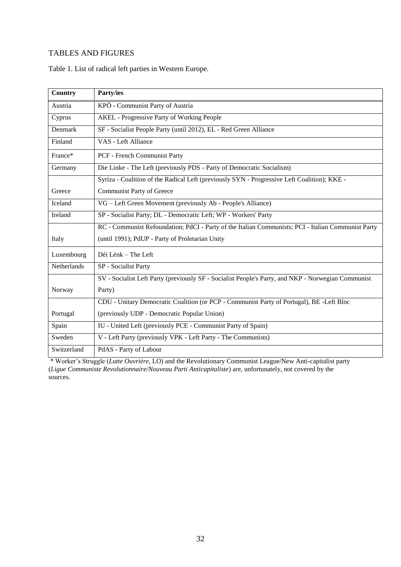# TABLES AND FIGURES

Table 1. List of radical left parties in Western Europe.

| <b>Country</b>     | Party/ies                                                                                          |
|--------------------|----------------------------------------------------------------------------------------------------|
| Austria            | KPÖ - Communist Party of Austria                                                                   |
| Cyprus             | <b>AKEL</b> - Progressive Party of Working People                                                  |
| Denmark            | SF - Socialist People Party (until 2012), EL - Red Green Alliance                                  |
| Finland            | VAS - Left Alliance                                                                                |
| France*            | PCF - French Communist Party                                                                       |
| Germany            | Die Linke - The Left (previously PDS - Party of Democratic Socialism)                              |
|                    | Syriza - Coalition of the Radical Left (previously SYN - Progressive Left Coalition); KKE -        |
| Greece             | <b>Communist Party of Greece</b>                                                                   |
| Iceland            | VG – Left Green Movement (previously Ab - People's Alliance)                                       |
| Ireland            | SP - Socialist Party; DL - Democratic Left; WP - Workers' Party                                    |
|                    | RC - Communist Refoundation; PdCI - Party of the Italian Communists; PCI - Italian Communist Party |
| Italy              | (until 1991); PdUP - Party of Proletarian Unity                                                    |
| Luxembourg         | Déi Lénk – The Left                                                                                |
| <b>Netherlands</b> | SP - Socialist Party                                                                               |
|                    | SV - Socialist Left Party (previously SF - Socialist People's Party, and NKP - Norwegian Communist |
| Norway             | Party)                                                                                             |
|                    | CDU - Unitary Democratic Coalition (or PCP - Communist Party of Portugal), BE -Left Bloc           |
| Portugal           | (previously UDP - Democratic Popular Union)                                                        |
| Spain              | IU - United Left (previously PCE - Communist Party of Spain)                                       |
| Sweden             | V - Left Party (previously VPK - Left Party - The Communists)                                      |
| Switzerland        | PdAS - Party of Labour                                                                             |

\* Worker's Struggle (*Lutte Ouvrière*, LO) and the Revolutionary Communist League/New Anti-capitalist party (*Ligue Communiste Revolutionnaire/Nouveau Parti Anticapitaliste*) are, unfortunately, not covered by the sources.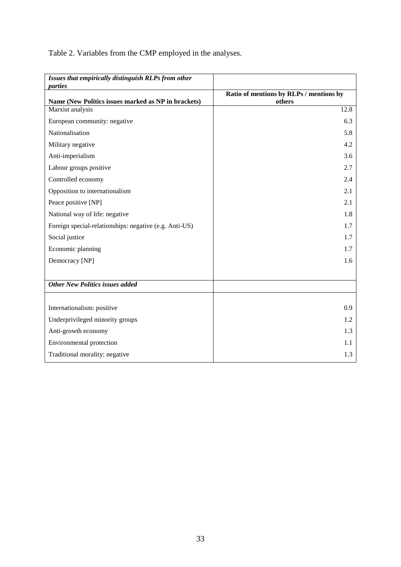Table 2. Variables from the CMP employed in the analyses.

| Issues that empirically distinguish RLPs from other            |                                                   |
|----------------------------------------------------------------|---------------------------------------------------|
| parties<br>Name (New Politics issues marked as NP in brackets) | Ratio of mentions by RLPs / mentions by<br>others |
| Marxist analysis                                               | 12.8                                              |
| European community: negative                                   | 6.3                                               |
| Nationalisation                                                | 5.8                                               |
| Military negative                                              | 4.2                                               |
| Anti-imperialism                                               | 3.6                                               |
| Labour groups positive                                         | 2.7                                               |
| Controlled economy                                             | 2.4                                               |
| Opposition to internationalism                                 | 2.1                                               |
| Peace positive [NP]                                            | 2.1                                               |
| National way of life: negative                                 | 1.8                                               |
| Foreign special-relationships: negative (e.g. Anti-US)         | 1.7                                               |
| Social justice                                                 | 1.7                                               |
| Economic planning                                              | 1.7                                               |
| Democracy [NP]                                                 | 1.6                                               |
|                                                                |                                                   |
| <b>Other New Politics issues added</b>                         |                                                   |
|                                                                |                                                   |
| Internationalism: positive                                     | 0.9                                               |
| Underprivileged minority groups                                | 1.2                                               |
| Anti-growth economy                                            | 1.3                                               |
| Environmental protection                                       | 1.1                                               |
| Traditional morality: negative                                 | 1.3                                               |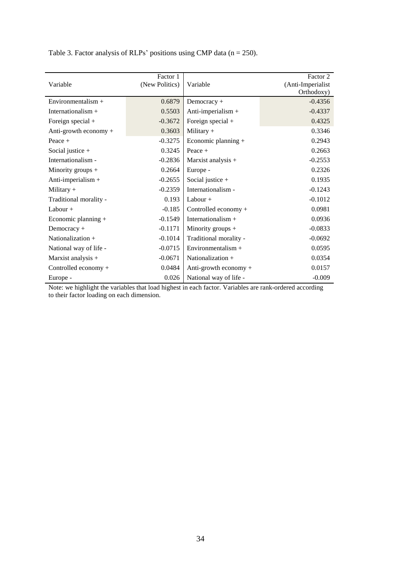| Variable               | Factor 1<br>(New Politics) | Variable               | Factor 2<br>(Anti-Imperialist<br>Orthodoxy) |
|------------------------|----------------------------|------------------------|---------------------------------------------|
| Environmentalism $+$   | 0.6879                     | Democracy +            | $-0.4356$                                   |
| Internationalism $+$   | 0.5503                     | Anti-imperialism +     | $-0.4337$                                   |
| Foreign special $+$    | $-0.3672$                  | Foreign special +      | 0.4325                                      |
| Anti-growth economy +  | 0.3603                     | Military $+$           | 0.3346                                      |
| Peace $+$              | $-0.3275$                  | Economic planning +    | 0.2943                                      |
| Social justice $+$     | 0.3245                     | Peace $+$              | 0.2663                                      |
| Internationalism -     | $-0.2836$                  | Marxist analysis +     | $-0.2553$                                   |
| Minority groups $+$    | 0.2664                     | Europe -               | 0.2326                                      |
| Anti-imperialism +     | $-0.2655$                  | Social justice $+$     | 0.1935                                      |
| Military $+$           | $-0.2359$                  | Internationalism -     | $-0.1243$                                   |
| Traditional morality - | 0.193                      | Labour $+$             | $-0.1012$                                   |
| Labour $+$             | $-0.185$                   | Controlled economy +   | 0.0981                                      |
| Economic planning $+$  | $-0.1549$                  | Internationalism +     | 0.0936                                      |
| $Democracy +$          | $-0.1171$                  | Minority groups $+$    | $-0.0833$                                   |
| Nationalization $+$    | $-0.1014$                  | Traditional morality - | $-0.0692$                                   |
| National way of life - | $-0.0715$                  | Environmentalism $+$   | 0.0595                                      |
| Marxist analysis +     | $-0.0671$                  | Nationalization +      | 0.0354                                      |
| Controlled economy +   | 0.0484                     | Anti-growth economy +  | 0.0157                                      |
| Europe -               | 0.026                      | National way of life - | $-0.009$                                    |

Table 3. Factor analysis of RLPs' positions using CMP data ( $n = 250$ ).

Note: we highlight the variables that load highest in each factor. Variables are rank-ordered according to their factor loading on each dimension.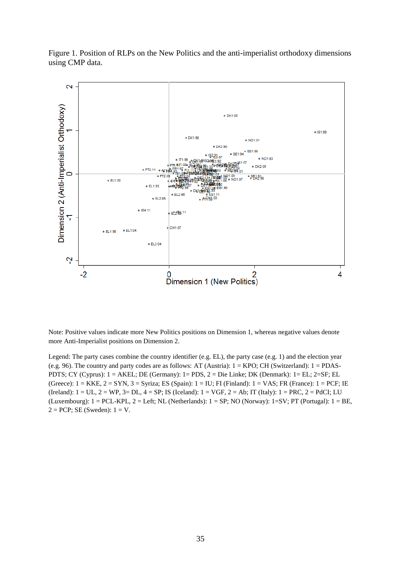Figure 1. Position of RLPs on the New Politics and the anti-imperialist orthodoxy dimensions using CMP data.



Note: Positive values indicate more New Politics positions on Dimension 1, whereas negative values denote more Anti-Imperialist positions on Dimension 2.

Legend: The party cases combine the country identifier (e.g. EL), the party case (e.g. 1) and the election year (e.g. 96). The country and party codes are as follows: AT (Austria): 1 = KPO; CH (Switzerland): 1 = PDAS-PDTS; CY (Cyprus): 1 = AKEL; DE (Germany): 1= PDS, 2 = Die Linke; DK (Denmark): 1= EL; 2=SF; EL (Greece):  $1 = KKE$ ,  $2 = SYN$ ,  $3 = Syriza$ ; ES (Spain):  $1 = IU$ ; FI (Finland):  $1 = VAS$ ; FR (France):  $1 = PCF$ ; IE (Ireland):  $1 = UL$ ,  $2 = WP$ ,  $3 = DL$ ,  $4 = SP$ ; IS (Iceland):  $1 = VGF$ ,  $2 = Ab$ ; IT (Italy):  $1 = PRC$ ,  $2 = PdCI$ ; LU (Luxembourg):  $1 = PCL-KPL$ ,  $2 = Left$ ; NL (Netherlands):  $1 = SP$ ; NO (Norway):  $1 = SV$ ; PT (Portugal):  $1 = BE$ ,  $2 = PCP$ ; SE (Sweden):  $1 = V$ .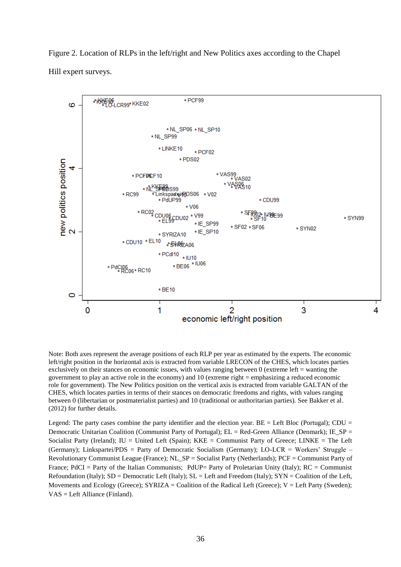Figure 2. Location of RLPs in the left/right and New Politics axes according to the Chapel Hill expert surveys.



Note: Both axes represent the average positions of each RLP per year as estimated by the experts. The economic left/right position in the horizontal axis is extracted from variable LRECON of the CHES, which locates parties exclusively on their stances on economic issues, with values ranging between  $0$  (extreme left = wanting the government to play an active role in the economy) and 10 (extreme right = emphasizing a reduced economic role for government). The New Politics position on the vertical axis is extracted from variable GALTAN of the CHES, which locates parties in terms of their stances on democratic freedoms and rights, with values ranging between 0 (libertarian or postmaterialist parties) and 10 (traditional or authoritarian parties). See Bakker et al. (2012) for further details.

Legend: The party cases combine the party identifier and the election year.  $BE = Left Block (Portugal)$ ;  $CDU =$ Democratic Unitarian Coalition (Communist Party of Portugal);  $EL = Red-Green$  Alliance (Denmark); IE\_SP = Socialist Party (Ireland); IU = United Left (Spain); KKE = Communist Party of Greece; LINKE = The Left (Germany); Linkspartei/PDS = Party of Democratic Socialism (Germany); LO-LCR = Workers' Struggle – Revolutionary Communist League (France); NL\_SP = Socialist Party (Netherlands); PCF = Communist Party of France; PdCI = Party of the Italian Communists; PdUP= Party of Proletarian Unity (Italy); RC = Communist Refoundation (Italy);  $SD = Demoncratic Left (Italy); SL = Left and Freedom (Italy); SYN =t$ Movements and Ecology (Greece);  $SYRIZA =$  Coalition of the Radical Left (Greece);  $V =$  Left Party (Sweden); VAS = Left Alliance (Finland).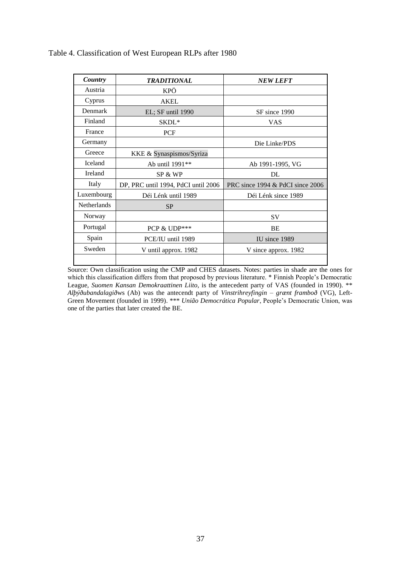| Country            | <b>TRADITIONAL</b>                  | <b>NEW LEFT</b>                  |
|--------------------|-------------------------------------|----------------------------------|
| Austria            | KPÖ                                 |                                  |
| Cyprus             | <b>AKEL</b>                         |                                  |
| Denmark            | EL; SF until 1990                   | SF since 1990                    |
| Finland            | SKDL*                               | VAS                              |
| France             | <b>PCF</b>                          |                                  |
| Germany            |                                     | Die Linke/PDS                    |
| Greece             | KKE & Synaspismos/Syriza            |                                  |
| Iceland            | Ab until 1991**                     | Ab 1991-1995, VG                 |
| Ireland            | SP & WP                             | DL                               |
| Italy              | DP, PRC until 1994, PdCI until 2006 | PRC since 1994 & PdCI since 2006 |
| Luxembourg         | Déi Lénk until 1989                 | Déi Lénk since 1989              |
| <b>Netherlands</b> | <b>SP</b>                           |                                  |
| Norway             |                                     | <b>SV</b>                        |
| Portugal           | PCP & UDP***                        | BE                               |
| Spain              | PCE/IU until 1989                   | IU since 1989                    |
| Sweden             | V until approx. 1982                | V since approx. 1982             |
|                    |                                     |                                  |

# Table 4. Classification of West European RLPs after 1980

Source: Own classification using the CMP and CHES datasets. Notes: parties in shade are the ones for which this classification differs from that proposed by previous literature. \* Finnish People's Democratic League, *Suomen Kansan Demokraattinen Liito*, is the antecedent party of VAS (founded in 1990). \*\* *Alþýðubandalagið*ws (Ab) was the antecendt party of *Vinstrihreyfingin – grænt framboð* (VG), Left-Green Movement (founded in 1999). \*\*\* *União Democrática Popular*, People's Democratic Union, was one of the parties that later created the BE.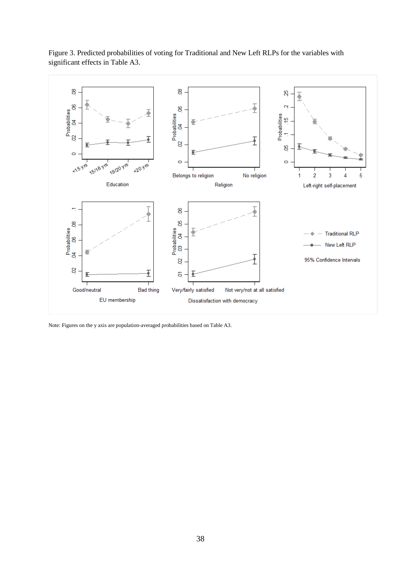

Figure 3. Predicted probabilities of voting for Traditional and New Left RLPs for the variables with significant effects in Table A3.

Note: Figures on the y axis are population-averaged probabilities based on Table A3.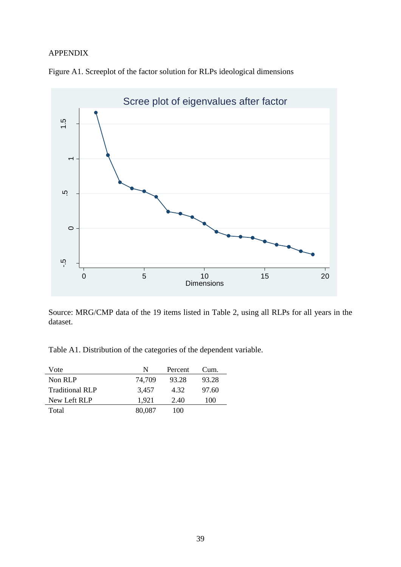# APPENDIX



Figure A1. Screeplot of the factor solution for RLPs ideological dimensions

Source: MRG/CMP data of the 19 items listed in Table 2, using all RLPs for all years in the dataset.

Table A1. Distribution of the categories of the dependent variable.

| Vote                   | N      | Percent | Cum.  |
|------------------------|--------|---------|-------|
| Non RLP                | 74.709 | 93.28   | 93.28 |
| <b>Traditional RLP</b> | 3,457  | 4.32    | 97.60 |
| New Left RLP           | 1.921  | 2.40    | 100   |
| Total                  | 80,087 | 100     |       |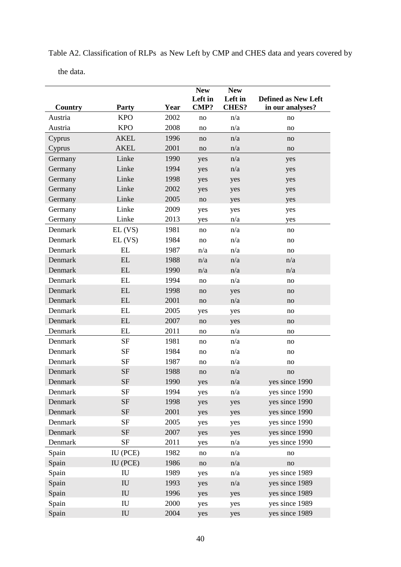|         |                            |      | <b>New</b><br>Left in  | <b>New</b><br>Left in | <b>Defined as New Left</b> |
|---------|----------------------------|------|------------------------|-----------------------|----------------------------|
| Country | <b>Party</b>               | Year | <b>CMP?</b>            | <b>CHES?</b>          | in our analyses?           |
| Austria | <b>KPO</b>                 | 2002 | no                     | n/a                   | no                         |
| Austria | <b>KPO</b>                 | 2008 | no                     | n/a                   | no                         |
| Cyprus  | <b>AKEL</b>                | 1996 | no                     | n/a                   | no                         |
| Cyprus  | <b>AKEL</b>                | 2001 | no                     | n/a                   | no                         |
| Germany | Linke                      | 1990 | yes                    | n/a                   | yes                        |
| Germany | Linke                      | 1994 | yes                    | n/a                   | yes                        |
| Germany | Linke                      | 1998 | yes                    | yes                   | yes                        |
| Germany | Linke                      | 2002 | yes                    | yes                   | yes                        |
| Germany | Linke                      | 2005 | $\rm no$               | yes                   | yes                        |
| Germany | Linke                      | 2009 | yes                    | yes                   | yes                        |
| Germany | Linke                      | 2013 | yes                    | n/a                   | yes                        |
| Denmark | $EL$ (VS)                  | 1981 | no                     | n/a                   | no                         |
| Denmark | $EL$ (VS)                  | 1984 | no                     | n/a                   | no                         |
| Denmark | EL                         | 1987 | n/a                    | n/a                   | no                         |
| Denmark | EL                         | 1988 | n/a                    | n/a                   | n/a                        |
| Denmark | EL                         | 1990 | n/a                    | n/a                   | n/a                        |
| Denmark | EL                         | 1994 | no                     | n/a                   | no                         |
| Denmark | EL                         | 1998 | no                     | yes                   | no                         |
| Denmark | EL                         | 2001 | $\rm no$               | n/a                   | no                         |
| Denmark | EL                         | 2005 | yes                    | yes                   | no                         |
| Denmark | EL                         | 2007 | no                     | yes                   | no                         |
| Denmark | EL                         | 2011 | $\rm no$               | n/a                   | no                         |
| Denmark | <b>SF</b>                  | 1981 | no                     | n/a                   | no                         |
| Denmark | <b>SF</b>                  | 1984 | no                     | n/a                   | no                         |
| Denmark | SF                         | 1987 | no                     | n/a                   | no                         |
| Denmark | <b>SF</b>                  | 1988 | no                     | n/a                   | no                         |
| Denmark | <b>SF</b>                  | 1990 | yes                    | n/a                   | yes since 1990             |
| Denmark | SF                         | 1994 | yes                    | n/a                   | yes since 1990             |
| Denmark | <b>SF</b>                  | 1998 | yes                    | yes                   | yes since 1990             |
| Denmark | $\rm{SF}$                  | 2001 | yes                    | yes                   | yes since 1990             |
| Denmark | SF                         | 2005 | yes                    | yes                   | yes since 1990             |
| Denmark | $\rm{SF}$                  | 2007 | yes                    | yes                   | yes since 1990             |
| Denmark | SF                         | 2011 | yes                    | n/a                   | yes since 1990             |
| Spain   | IU (PCE)                   | 1982 | no                     | n/a                   | no                         |
| Spain   | IU (PCE)                   | 1986 | $\mathop{\mathrm{no}}$ | n/a                   | no                         |
| Spain   | ${\rm IU}$                 | 1989 | yes                    | n/a                   | yes since 1989             |
| Spain   | $\mathbf{I} \mathbf{U}$    | 1993 | yes                    | n/a                   | yes since 1989             |
| Spain   | $\mathop{\rm IU}\nolimits$ | 1996 | yes                    | yes                   | yes since 1989             |
| Spain   | IU                         | 2000 | yes                    | yes                   | yes since 1989             |
| Spain   | ${\rm IU}$                 | 2004 | yes                    | yes                   | yes since 1989             |

Table A2. Classification of RLPs as New Left by CMP and CHES data and years covered by

the data.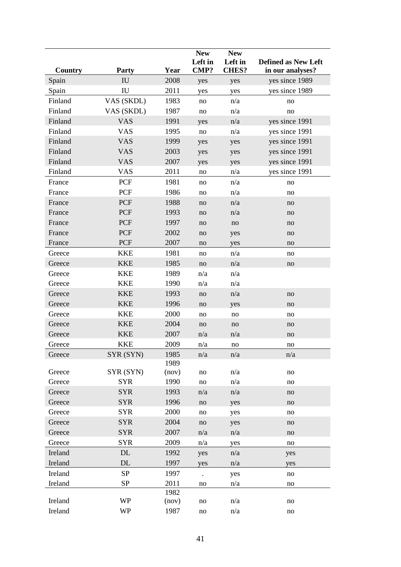|         |                                         |       | <b>New</b>           | <b>New</b>              |                            |
|---------|-----------------------------------------|-------|----------------------|-------------------------|----------------------------|
|         |                                         |       | Left in              | Left in<br><b>CHES?</b> | <b>Defined as New Left</b> |
| Country | <b>Party</b><br>$\mathbf{I} \mathbf{U}$ | Year  | CMP?                 |                         | in our analyses?           |
| Spain   |                                         | 2008  | yes                  | yes                     | yes since 1989             |
| Spain   | $\mathop{\rm IU}\nolimits$              | 2011  | yes                  | yes                     | yes since 1989             |
| Finland | VAS (SKDL)                              | 1983  | no                   | n/a                     | no                         |
| Finland | VAS (SKDL)                              | 1987  | no                   | n/a                     | no                         |
| Finland | <b>VAS</b>                              | 1991  | yes                  | n/a                     | yes since 1991             |
| Finland | <b>VAS</b>                              | 1995  | no                   | n/a                     | yes since 1991             |
| Finland | <b>VAS</b>                              | 1999  | yes                  | yes                     | yes since 1991             |
| Finland | <b>VAS</b>                              | 2003  | yes                  | yes                     | yes since 1991             |
| Finland | <b>VAS</b>                              | 2007  | yes                  | yes                     | yes since 1991             |
| Finland | <b>VAS</b>                              | 2011  | no                   | n/a                     | yes since 1991             |
| France  | <b>PCF</b>                              | 1981  | no                   | n/a                     | no                         |
| France  | PCF                                     | 1986  | no                   | n/a                     | no                         |
| France  | <b>PCF</b>                              | 1988  | no                   | n/a                     | no                         |
| France  | <b>PCF</b>                              | 1993  | no                   | n/a                     | no                         |
| France  | <b>PCF</b>                              | 1997  | no                   | no                      | no                         |
| France  | <b>PCF</b>                              | 2002  | no                   | yes                     | no                         |
| France  | <b>PCF</b>                              | 2007  | no                   | yes                     | no                         |
| Greece  | <b>KKE</b>                              | 1981  | no                   | n/a                     | no                         |
| Greece  | <b>KKE</b>                              | 1985  | no                   | n/a                     | no                         |
| Greece  | <b>KKE</b>                              | 1989  | n/a                  | n/a                     |                            |
| Greece  | <b>KKE</b>                              | 1990  | n/a                  | n/a                     |                            |
| Greece  | <b>KKE</b>                              | 1993  | no                   | n/a                     | no                         |
| Greece  | <b>KKE</b>                              | 1996  | no                   | yes                     | no                         |
| Greece  | <b>KKE</b>                              | 2000  | no                   | no                      | no                         |
| Greece  | <b>KKE</b>                              | 2004  | no                   | no                      | no                         |
| Greece  | <b>KKE</b>                              | 2007  | n/a                  | n/a                     | no                         |
| Greece  | <b>KKE</b>                              | 2009  | n/a                  | no                      | no                         |
| Greece  | SYR (SYN)                               | 1985  | n/a                  | n/a                     | n/a                        |
|         |                                         | 1989  |                      |                         |                            |
| Greece  | SYR (SYN)                               | (nov) | no                   | n/a                     | no                         |
| Greece  | <b>SYR</b>                              | 1990  | no                   | n/a                     | no                         |
| Greece  | <b>SYR</b>                              | 1993  | n/a                  | n/a                     | no                         |
| Greece  | <b>SYR</b>                              | 1996  | no                   | yes                     | no                         |
| Greece  | <b>SYR</b>                              | 2000  | no                   | yes                     | no                         |
| Greece  | <b>SYR</b>                              | 2004  | no                   | yes                     | no                         |
| Greece  | <b>SYR</b>                              | 2007  | n/a                  | n/a                     | no                         |
| Greece  | <b>SYR</b>                              | 2009  | n/a                  | yes                     | no                         |
| Ireland | DL                                      | 1992  | yes                  | n/a                     | yes                        |
| Ireland | DL                                      | 1997  | yes                  | n/a                     | yes                        |
| Ireland | <b>SP</b>                               | 1997  | $\ddot{\phantom{0}}$ | yes                     | no                         |
| Ireland | <b>SP</b>                               | 2011  | no                   | n/a                     | no                         |
|         |                                         | 1982  |                      |                         |                            |
| Ireland | <b>WP</b>                               | (nov) | no                   | n/a                     | no                         |
| Ireland | <b>WP</b>                               | 1987  | no                   | n/a                     | no                         |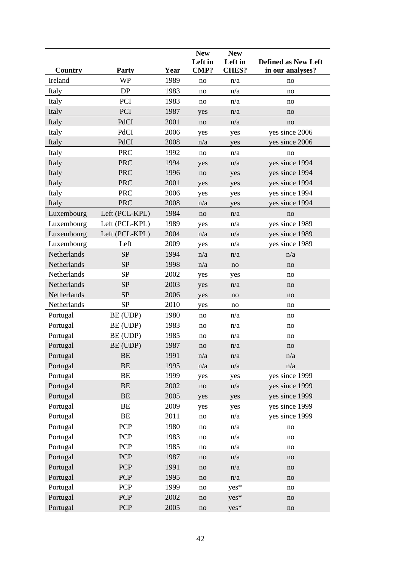|             |                |      | <b>New</b>             | <b>New</b>   |                            |
|-------------|----------------|------|------------------------|--------------|----------------------------|
|             |                |      | Left in                | Left in      | <b>Defined as New Left</b> |
| Country     | <b>Party</b>   | Year | <b>CMP?</b>            | <b>CHES?</b> | in our analyses?           |
| Ireland     | <b>WP</b>      | 1989 | no                     | n/a          | no                         |
| Italy       | DP             | 1983 | no                     | n/a          | no                         |
| Italy       | PCI            | 1983 | no                     | n/a          | no                         |
| Italy       | PCI            | 1987 | yes                    | n/a          | no                         |
| Italy       | PdCI           | 2001 | no                     | n/a          | no                         |
| Italy       | PdCI           | 2006 | yes                    | yes          | yes since 2006             |
| Italy       | PdCI           | 2008 | n/a                    | yes          | yes since 2006             |
| Italy       | <b>PRC</b>     | 1992 | $\rm no$               | n/a          | no                         |
| Italy       | <b>PRC</b>     | 1994 | yes                    | n/a          | yes since 1994             |
| Italy       | <b>PRC</b>     | 1996 | no                     | yes          | yes since 1994             |
| Italy       | <b>PRC</b>     | 2001 | yes                    | yes          | yes since 1994             |
| Italy       | <b>PRC</b>     | 2006 | yes                    | yes          | yes since 1994             |
| Italy       | <b>PRC</b>     | 2008 | n/a                    | yes          | yes since 1994             |
| Luxembourg  | Left (PCL-KPL) | 1984 | no                     | n/a          | no                         |
| Luxembourg  | Left (PCL-KPL) | 1989 | yes                    | n/a          | yes since 1989             |
| Luxembourg  | Left (PCL-KPL) | 2004 | n/a                    | n/a          | yes since 1989             |
| Luxembourg  | Left           | 2009 | yes                    | n/a          | yes since 1989             |
| Netherlands | <b>SP</b>      | 1994 | n/a                    | n/a          | n/a                        |
| Netherlands | SP             | 1998 | n/a                    | $\rm no$     | no                         |
| Netherlands | <b>SP</b>      | 2002 | yes                    | yes          | no                         |
| Netherlands | SP             | 2003 | yes                    | n/a          | no                         |
| Netherlands | <b>SP</b>      | 2006 | yes                    | no           | no                         |
| Netherlands | <b>SP</b>      | 2010 | yes                    | no           | no                         |
| Portugal    | BE (UDP)       | 1980 | no                     | n/a          | no                         |
| Portugal    | BE (UDP)       | 1983 | no                     | n/a          | no                         |
| Portugal    | BE (UDP)       | 1985 | no                     | n/a          | no                         |
| Portugal    | BE (UDP)       | 1987 | no                     | n/a          | no                         |
| Portugal    | BE             | 1991 | n/a                    | n/a          | n/a                        |
| Portugal    | $\rm BE$       | 1995 | n/a                    | n/a          | $\mathrm{n}/\mathrm{a}$    |
| Portugal    | BE             | 1999 | yes                    | yes          | yes since 1999             |
| Portugal    | $\rm BE$       | 2002 | $\rm no$               | n/a          | yes since 1999             |
| Portugal    | $\rm BE$       | 2005 | yes                    | yes          | yes since 1999             |
| Portugal    | BE             | 2009 | yes                    | yes          | yes since 1999             |
| Portugal    | BE             | 2011 | no                     | n/a          | yes since 1999             |
| Portugal    | PCP            | 1980 | no                     | n/a          | no                         |
| Portugal    | PCP            | 1983 | no                     | n/a          | no                         |
| Portugal    | PCP            | 1985 | no                     | n/a          | no                         |
| Portugal    | <b>PCP</b>     | 1987 | no                     | n/a          | no                         |
| Portugal    | PCP            | 1991 | no                     | n/a          | no                         |
| Portugal    | PCP            | 1995 | no                     | n/a          | no                         |
| Portugal    | PCP            | 1999 | no                     | yes*         | no                         |
| Portugal    | <b>PCP</b>     | 2002 | no                     | yes*         | no                         |
| Portugal    | PCP            | 2005 | $\mathop{\mathrm{no}}$ | yes*         | no                         |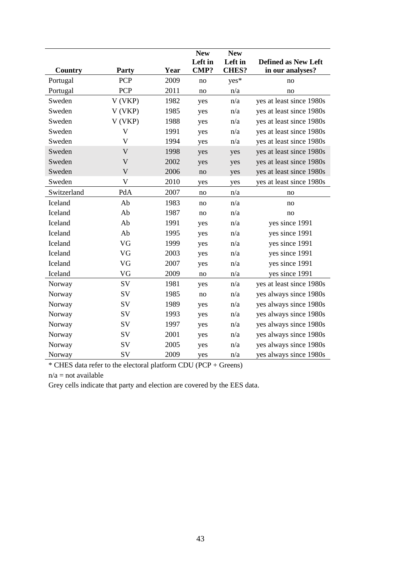|             |              |      | <b>New</b> | <b>New</b>   |                            |
|-------------|--------------|------|------------|--------------|----------------------------|
|             |              |      | Left in    | Left in      | <b>Defined as New Left</b> |
| Country     | Party        | Year | CMP?       | <b>CHES?</b> | in our analyses?           |
| Portugal    | <b>PCP</b>   | 2009 | no         | yes*         | no                         |
| Portugal    | <b>PCP</b>   | 2011 | no         | n/a          | no                         |
| Sweden      | V (VKP)      | 1982 | yes        | n/a          | yes at least since 1980s   |
| Sweden      | V (VKP)      | 1985 | yes        | n/a          | yes at least since 1980s   |
| Sweden      | V (VKP)      | 1988 | yes        | n/a          | yes at least since 1980s   |
| Sweden      | $\mathbf V$  | 1991 | yes        | n/a          | yes at least since 1980s   |
| Sweden      | $\mathbf{V}$ | 1994 | yes        | n/a          | yes at least since 1980s   |
| Sweden      | $\mathbf V$  | 1998 | yes        | yes          | yes at least since 1980s   |
| Sweden      | $\mathbf{V}$ | 2002 | yes        | yes          | yes at least since 1980s   |
| Sweden      | $\mathbf{V}$ | 2006 | no         | yes          | yes at least since 1980s   |
| Sweden      | V            | 2010 | yes        | yes          | yes at least since 1980s   |
| Switzerland | PdA          | 2007 | no         | n/a          | no                         |
| Iceland     | Ab           | 1983 | no         | n/a          | no                         |
| Iceland     | Ab           | 1987 | no         | n/a          | no                         |
| Iceland     | Ab           | 1991 | yes        | n/a          | yes since 1991             |
| Iceland     | Ab           | 1995 | yes        | n/a          | yes since 1991             |
| Iceland     | VG           | 1999 | yes        | n/a          | yes since 1991             |
| Iceland     | VG           | 2003 | yes        | n/a          | yes since 1991             |
| Iceland     | VG           | 2007 | yes        | n/a          | yes since 1991             |
| Iceland     | VG           | 2009 | no         | n/a          | yes since 1991             |
| Norway      | SV           | 1981 | yes        | n/a          | yes at least since 1980s   |
| Norway      | SV           | 1985 | no         | n/a          | yes always since 1980s     |
| Norway      | SV           | 1989 | yes        | n/a          | yes always since 1980s     |
| Norway      | SV           | 1993 | yes        | n/a          | yes always since 1980s     |
| Norway      | SV           | 1997 | yes        | n/a          | yes always since 1980s     |
| Norway      | SV           | 2001 | yes        | n/a          | yes always since 1980s     |
| Norway      | SV           | 2005 | yes        | n/a          | yes always since 1980s     |
| Norway      | SV           | 2009 | yes        | n/a          | yes always since 1980s     |

\* CHES data refer to the electoral platform CDU (PCP + Greens)

 $n/a = not available$ 

Grey cells indicate that party and election are covered by the EES data.